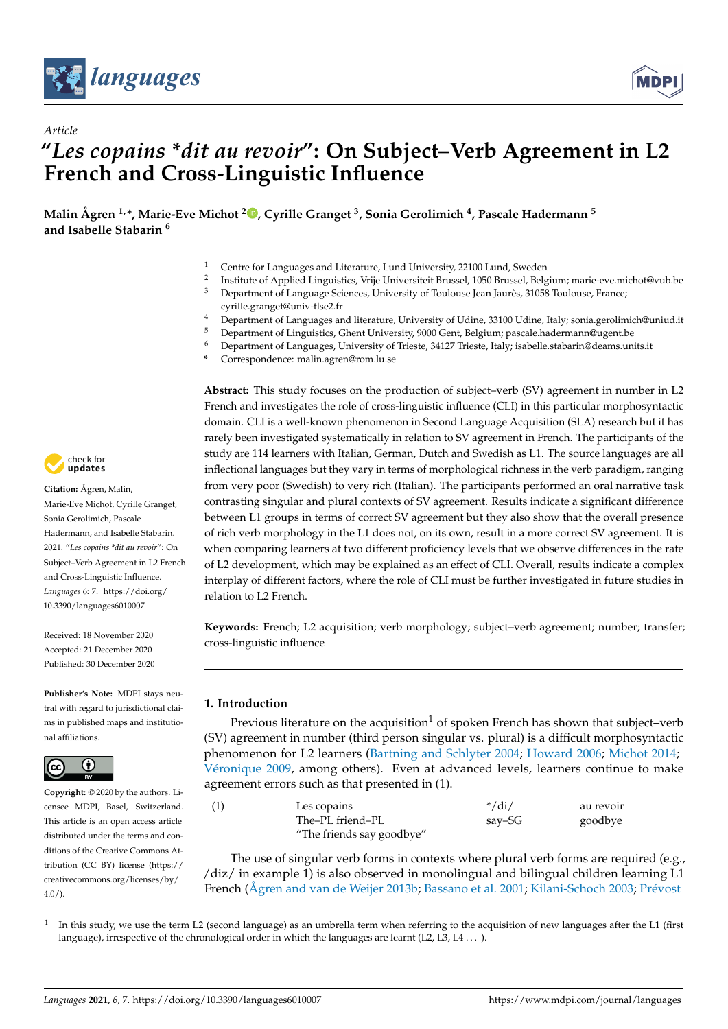

*Article*



# **"***Les copains \*dit au revoir***": On Subject–Verb Agreement in L2 French and Cross-Linguistic Influence**

**Malin Ågren 1,\*, Marie-Eve Michot <sup>2</sup> [,](https://orcid.org/0000-0002-9570-7919) Cyrille Granget <sup>3</sup> , Sonia Gerolimich <sup>4</sup> , Pascale Hadermann <sup>5</sup> and Isabelle Stabarin <sup>6</sup>**

- <sup>1</sup> Centre for Languages and Literature, Lund University, 22100 Lund, Sweden
- 2 Institute of Applied Linguistics, Vrije Universiteit Brussel, 1050 Brussel, Belgium; marie-eve.michot@vub.be
- <sup>3</sup> Department of Language Sciences, University of Toulouse Jean Jaurès, 31058 Toulouse, France; cyrille.granget@univ-tlse2.fr
- <sup>4</sup> Department of Languages and literature, University of Udine, 33100 Udine, Italy; sonia.gerolimich@uniud.it<br><sup>5</sup> Department of Linguistics Chapt University 0000 Capt. Relatives necessle bedempeng@ueent.be
- $5$  Department of Linguistics, Ghent University, 9000 Gent, Belgium; pascale.hadermann@ugent.be<br> $6$  Department of Languages, University of Tricate, 24127 Tricate, Italy, isobella otherwig@deams.un
- <sup>6</sup> Department of Languages, University of Trieste, 34127 Trieste, Italy; isabelle.stabarin@deams.units.it
- **\*** Correspondence: malin.agren@rom.lu.se

**Abstract:** This study focuses on the production of subject–verb (SV) agreement in number in L2 French and investigates the role of cross-linguistic influence (CLI) in this particular morphosyntactic domain. CLI is a well-known phenomenon in Second Language Acquisition (SLA) research but it has rarely been investigated systematically in relation to SV agreement in French. The participants of the study are 114 learners with Italian, German, Dutch and Swedish as L1. The source languages are all inflectional languages but they vary in terms of morphological richness in the verb paradigm, ranging from very poor (Swedish) to very rich (Italian). The participants performed an oral narrative task contrasting singular and plural contexts of SV agreement. Results indicate a significant difference between L1 groups in terms of correct SV agreement but they also show that the overall presence of rich verb morphology in the L1 does not, on its own, result in a more correct SV agreement. It is when comparing learners at two different proficiency levels that we observe differences in the rate of L2 development, which may be explained as an effect of CLI. Overall, results indicate a complex interplay of different factors, where the role of CLI must be further investigated in future studies in relation to L2 French.

**Keywords:** French; L2 acquisition; verb morphology; subject–verb agreement; number; transfer; cross-linguistic influence

## **1. Introduction**

Previous literature on the acquisition<sup>1</sup> of spoken French has shown that subject–verb (SV) agreement in number (third person singular vs. plural) is a difficult morphosyntactic phenomenon for L2 learners [\(Bartning and Schlyter](#page-15-0) [2004;](#page-15-0) [Howard](#page-15-1) [2006;](#page-15-1) [Michot](#page-15-2) [2014;](#page-15-2) Vé[ronique](#page-16-0) [2009,](#page-16-0) among others). Even at advanced levels, learners continue to make agreement errors such as that presented in (1).

| Les copains               | $*/di/$ | au revoir |
|---------------------------|---------|-----------|
| The–PL friend–PL          | say–SG  | goodbye   |
| "The friends say goodbye" |         |           |

The use of singular verb forms in contexts where plural verb forms are required (e.g., /diz/ in example 1) is also observed in monolingual and bilingual children learning L[1](#page-16-1) French [\(Ågren and van de Weijer](#page-15-3) [2013b;](#page-15-3) [Bassano et al.](#page-15-4) [2001;](#page-15-4) [Kilani-Schoch](#page-15-5) [2003;](#page-15-5) Pré[vost](#page-16-1)



**Citation:** Ågren, Malin, Marie-Eve Michot, Cyrille Granget, Sonia Gerolimich, Pascale Hadermann, and Isabelle Stabarin. 2021. "*Les copains \*dit au revoir*": On Subject–Verb Agreement in L2 French and Cross-Linguistic Influence. *Languages* 6: 7. [https://doi.org/](https://doi.org/10.3390/languages6010007) [10.3390/languages6010007](https://doi.org/10.3390/languages6010007)

Received: 18 November 2020 Accepted: 21 December 2020 Published: 30 December 2020

**Publisher's Note:** MDPI stays neutral with regard to jurisdictional claims in published maps and institutional affiliations.



**Copyright:** © 2020 by the authors. Licensee MDPI, Basel, Switzerland. This article is an open access article distributed under the terms and conditions of the Creative Commons Attribution (CC BY) license [\(https://](https://creativecommons.org/licenses/by/4.0/) [creativecommons.org/licenses/by/](https://creativecommons.org/licenses/by/4.0/) [4.0/\)](https://creativecommons.org/licenses/by/4.0/).

[<sup>1</sup>](#page-16-1) In this study, we use the term L2 (second language) as an umbrella term when referring to the acquisition of new languages after the L1 (first language), irrespective of the chronological order in which the languages are learnt (L2, L3, L4 . . . ).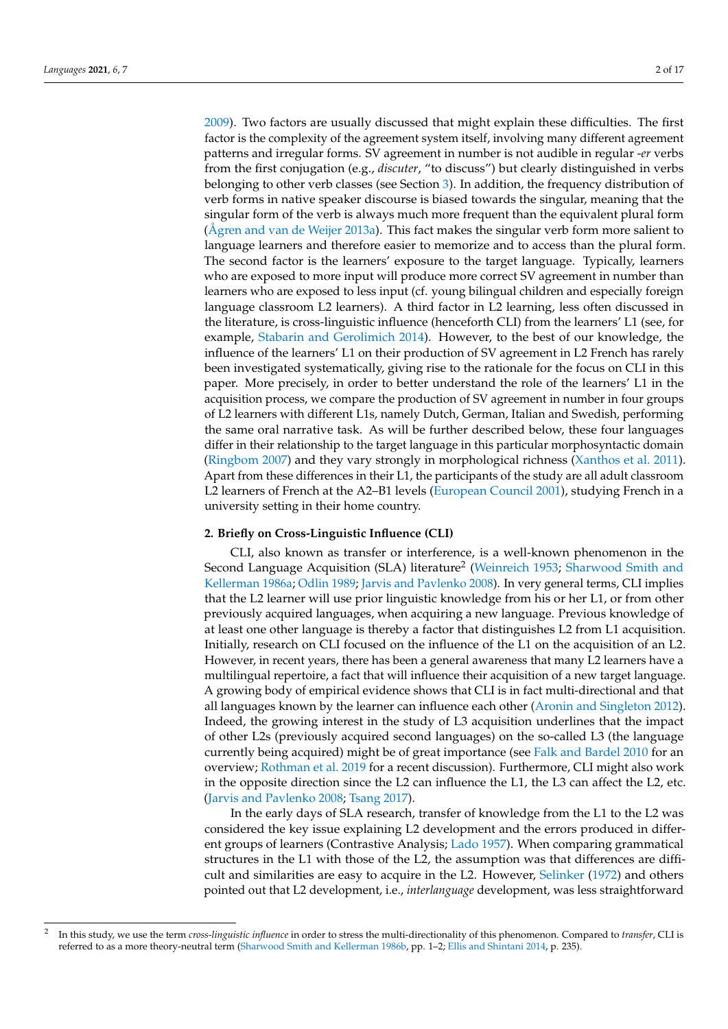[2009\)](#page-16-1). Two factors are usually discussed that might explain these difficulties. The first factor is the complexity of the agreement system itself, involving many different agreement patterns and irregular forms. SV agreement in number is not audible in regular -*er* verbs from the first conjugation (e.g., *discuter*, "to discuss") but clearly distinguished in verbs belonging to other verb classes (see Section [3\)](#page-3-0). In addition, the frequency distribution of verb forms in native speaker discourse is biased towards the singular, meaning that the singular form of the verb is always much more frequent than the equivalent plural form [\(Ågren and van de Weijer](#page-15-6) [2013a\)](#page-15-6). This fact makes the singular verb form more salient to language learners and therefore easier to memorize and to access than the plural form. The second factor is the learners' exposure to the target language. Typically, learners who are exposed to more input will produce more correct SV agreement in number than learners who are exposed to less input (cf. young bilingual children and especially foreign language classroom L2 learners). A third factor in L2 learning, less often discussed in the literature, is cross-linguistic influence (henceforth CLI) from the learners' L1 (see, for example, [Stabarin and Gerolimich](#page-16-2) [2014\)](#page-16-2). However, to the best of our knowledge, the influence of the learners' L1 on their production of SV agreement in L2 French has rarely been investigated systematically, giving rise to the rationale for the focus on CLI in this paper. More precisely, in order to better understand the role of the learners' L1 in the acquisition process, we compare the production of SV agreement in number in four groups of L2 learners with different L1s, namely Dutch, German, Italian and Swedish, performing the same oral narrative task. As will be further described below, these four languages differ in their relationship to the target language in this particular morphosyntactic domain [\(Ringbom](#page-16-3) [2007\)](#page-16-3) and they vary strongly in morphological richness [\(Xanthos et al.](#page-16-4) [2011\)](#page-16-4). Apart from these differences in their L1, the participants of the study are all adult classroom L2 learners of French at the A2–B1 levels [\(European Council](#page-15-7) [2001\)](#page-15-7), studying French in a university setting in their home country.

#### **2. Briefly on Cross-Linguistic Influence (CLI)**

CLI, also known as transfer or interference, is a well-known phenomenon in the Second Language Acquisition (SLA) literature<sup>2</sup> [\(Weinreich](#page-16-5) [1953;](#page-16-5) [Sharwood Smith and](#page-16-6) [Kellerman](#page-16-6) [1986a;](#page-16-6) [Odlin](#page-16-7) [1989;](#page-16-7) [Jarvis and Pavlenko](#page-15-8) [2008\)](#page-15-8). In very general terms, CLI implies that the L2 learner will use prior linguistic knowledge from his or her L1, or from other previously acquired languages, when acquiring a new language. Previous knowledge of at least one other language is thereby a factor that distinguishes L2 from L1 acquisition. Initially, research on CLI focused on the influence of the L1 on the acquisition of an L2. However, in recent years, there has been a general awareness that many L2 learners have a multilingual repertoire, a fact that will influence their acquisition of a new target language. A growing body of empirical evidence shows that CLI is in fact multi-directional and that all languages known by the learner can influence each other [\(Aronin and Singleton](#page-15-9) [2012\)](#page-15-9). Indeed, the growing interest in the study of L3 acquisition underlines that the impact of other L2s (previously acquired second languages) on the so-called L3 (the language currently being acquired) might be of great importance (see [Falk and Bardel](#page-15-10) [2010](#page-15-10) for an overview; [Rothman et al.](#page-16-8) [2019](#page-16-8) for a recent discussion). Furthermore, CLI might also work in the opposite direction since the L2 can influence the L1, the L3 can affect the L2, etc. [\(Jarvis and Pavlenko](#page-15-8) [2008;](#page-15-8) [Tsang](#page-16-9) [2017\)](#page-16-9).

In the early days of SLA research, transfer of knowledge from the L1 to the L2 was considered the key issue explaining L2 development and the errors produced in different groups of learners (Contrastive Analysis; [Lado](#page-15-11) [1957\)](#page-15-11). When comparing grammatical structures in the L1 with those of the L2, the assumption was that differences are difficult and similarities are easy to acquire in the L2. However, [Selinker](#page-16-10) [\(1972\)](#page-16-10) and others pointed out that L2 development, i.e., *interlanguage* development, was less straightforward

<sup>2</sup> In this study, we use the term *cross-linguistic influence* in order to stress the multi-directionality of this phenomenon. Compared to *transfer*, CLI is referred to as a more theory-neutral term [\(Sharwood Smith and Kellerman](#page-16-11) [1986b,](#page-16-11) pp. 1–2; [Ellis and Shintani](#page-15-12) [2014,](#page-15-12) p. 235).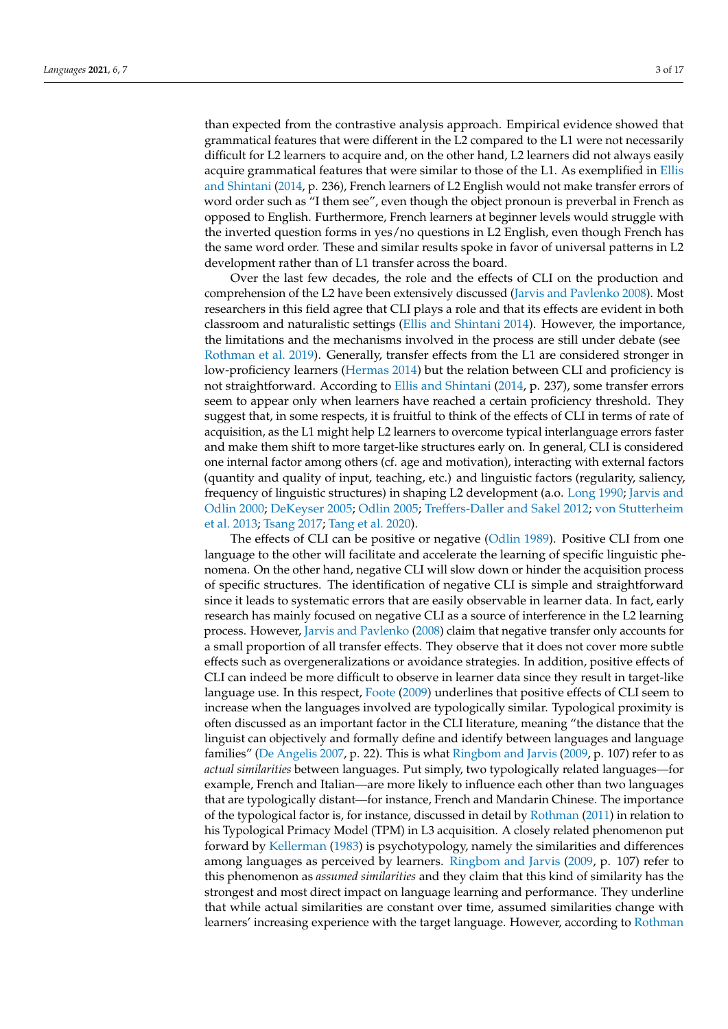than expected from the contrastive analysis approach. Empirical evidence showed that grammatical features that were different in the L2 compared to the L1 were not necessarily difficult for L2 learners to acquire and, on the other hand, L2 learners did not always easily acquire grammatical features that were similar to those of the L1. As exemplified in [Ellis](#page-15-12) [and Shintani](#page-15-12) [\(2014,](#page-15-12) p. 236), French learners of L2 English would not make transfer errors of word order such as "I them see", even though the object pronoun is preverbal in French as opposed to English. Furthermore, French learners at beginner levels would struggle with the inverted question forms in yes/no questions in L2 English, even though French has the same word order. These and similar results spoke in favor of universal patterns in L2 development rather than of L1 transfer across the board.

Over the last few decades, the role and the effects of CLI on the production and comprehension of the L2 have been extensively discussed [\(Jarvis and Pavlenko](#page-15-8) [2008\)](#page-15-8). Most researchers in this field agree that CLI plays a role and that its effects are evident in both classroom and naturalistic settings [\(Ellis and Shintani](#page-15-12) [2014\)](#page-15-12). However, the importance, the limitations and the mechanisms involved in the process are still under debate (see [Rothman et al.](#page-16-8) [2019\)](#page-16-8). Generally, transfer effects from the L1 are considered stronger in low-proficiency learners [\(Hermas](#page-15-13) [2014\)](#page-15-13) but the relation between CLI and proficiency is not straightforward. According to [Ellis and Shintani](#page-15-12) [\(2014,](#page-15-12) p. 237), some transfer errors seem to appear only when learners have reached a certain proficiency threshold. They suggest that, in some respects, it is fruitful to think of the effects of CLI in terms of rate of acquisition, as the L1 might help L2 learners to overcome typical interlanguage errors faster and make them shift to more target-like structures early on. In general, CLI is considered one internal factor among others (cf. age and motivation), interacting with external factors (quantity and quality of input, teaching, etc.) and linguistic factors (regularity, saliency, frequency of linguistic structures) in shaping L2 development (a.o. [Long](#page-15-14) [1990;](#page-15-14) [Jarvis and](#page-15-15) [Odlin](#page-15-15) [2000;](#page-15-15) [DeKeyser](#page-15-16) [2005;](#page-15-16) [Odlin](#page-16-12) [2005;](#page-16-12) [Treffers-Daller and Sakel](#page-16-13) [2012;](#page-16-13) [von Stutterheim](#page-16-14) [et al.](#page-16-14) [2013;](#page-16-14) [Tsang](#page-16-9) [2017;](#page-16-9) [Tang et al.](#page-16-15) [2020\)](#page-16-15).

The effects of CLI can be positive or negative [\(Odlin](#page-16-7) [1989\)](#page-16-7). Positive CLI from one language to the other will facilitate and accelerate the learning of specific linguistic phenomena. On the other hand, negative CLI will slow down or hinder the acquisition process of specific structures. The identification of negative CLI is simple and straightforward since it leads to systematic errors that are easily observable in learner data. In fact, early research has mainly focused on negative CLI as a source of interference in the L2 learning process. However, [Jarvis and Pavlenko](#page-15-8) [\(2008\)](#page-15-8) claim that negative transfer only accounts for a small proportion of all transfer effects. They observe that it does not cover more subtle effects such as overgeneralizations or avoidance strategies. In addition, positive effects of CLI can indeed be more difficult to observe in learner data since they result in target-like language use. In this respect, [Foote](#page-15-17) [\(2009\)](#page-15-17) underlines that positive effects of CLI seem to increase when the languages involved are typologically similar. Typological proximity is often discussed as an important factor in the CLI literature, meaning "the distance that the linguist can objectively and formally define and identify between languages and language families" [\(De Angelis](#page-15-18) [2007,](#page-15-18) p. 22). This is what [Ringbom and Jarvis](#page-16-16) [\(2009,](#page-16-16) p. 107) refer to as *actual similarities* between languages. Put simply, two typologically related languages—for example, French and Italian—are more likely to influence each other than two languages that are typologically distant—for instance, French and Mandarin Chinese. The importance of the typological factor is, for instance, discussed in detail by [Rothman](#page-16-17) [\(2011\)](#page-16-17) in relation to his Typological Primacy Model (TPM) in L3 acquisition. A closely related phenomenon put forward by [Kellerman](#page-16-18) [\(1983\)](#page-16-18) is psychotypology, namely the similarities and differences among languages as perceived by learners. [Ringbom and Jarvis](#page-16-16) [\(2009,](#page-16-16) p. 107) refer to this phenomenon as *assumed similarities* and they claim that this kind of similarity has the strongest and most direct impact on language learning and performance. They underline that while actual similarities are constant over time, assumed similarities change with learners' increasing experience with the target language. However, according to [Rothman](#page-16-17)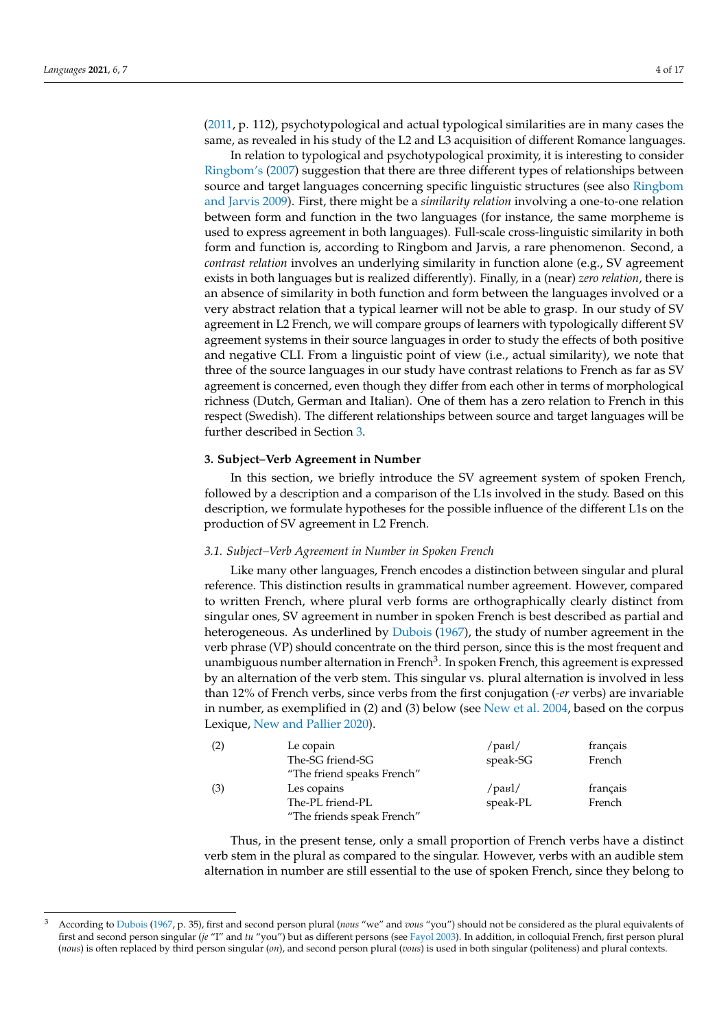[\(2011,](#page-16-17) p. 112), psychotypological and actual typological similarities are in many cases the same, as revealed in his study of the L2 and L3 acquisition of different Romance languages.

In relation to typological and psychotypological proximity, it is interesting to consider [Ringbom'](#page-16-3)s [\(2007\)](#page-16-3) suggestion that there are three different types of relationships between source and target languages concerning specific linguistic structures (see also [Ringbom](#page-16-16) [and Jarvis](#page-16-16) [2009\)](#page-16-16). First, there might be a *similarity relation* involving a one-to-one relation between form and function in the two languages (for instance, the same morpheme is used to express agreement in both languages). Full-scale cross-linguistic similarity in both form and function is, according to Ringbom and Jarvis, a rare phenomenon. Second, a *contrast relation* involves an underlying similarity in function alone (e.g., SV agreement exists in both languages but is realized differently). Finally, in a (near) *zero relation*, there is an absence of similarity in both function and form between the languages involved or a very abstract relation that a typical learner will not be able to grasp. In our study of SV agreement in L2 French, we will compare groups of learners with typologically different SV agreement systems in their source languages in order to study the effects of both positive and negative CLI. From a linguistic point of view (i.e., actual similarity), we note that three of the source languages in our study have contrast relations to French as far as SV agreement is concerned, even though they differ from each other in terms of morphological richness (Dutch, German and Italian). One of them has a zero relation to French in this respect (Swedish). The different relationships between source and target languages will be further described in Section [3.](#page-3-0)

## <span id="page-3-0"></span>**3. Subject–Verb Agreement in Number**

In this section, we briefly introduce the SV agreement system of spoken French, followed by a description and a comparison of the L1s involved in the study. Based on this description, we formulate hypotheses for the possible influence of the different L1s on the production of SV agreement in L2 French.

### <span id="page-3-1"></span>*3.1. Subject–Verb Agreement in Number in Spoken French*

Like many other languages, French encodes a distinction between singular and plural reference. This distinction results in grammatical number agreement. However, compared to written French, where plural verb forms are orthographically clearly distinct from singular ones, SV agreement in number in spoken French is best described as partial and heterogeneous. As underlined by [Dubois](#page-15-19) [\(1967\)](#page-15-19), the study of number agreement in the verb phrase (VP) should concentrate on the third person, since this is the most frequent and unambiguous number alternation in French $^3$ . In spoken French, this agreement is expressed by an alternation of the verb stem. This singular vs. plural alternation is involved in less than 12% of French verbs, since verbs from the first conjugation (*-er* verbs) are invariable in number, as exemplified in (2) and (3) below (see [New et al.](#page-16-19) [2004,](#page-16-19) based on the corpus Lexique, [New and Pallier](#page-15-20) [2020\)](#page-15-20).

| (2) | Le copain                  | /рав $\frac{1}{2}$ | français |
|-----|----------------------------|--------------------|----------|
|     | The-SG friend-SG           | speak-SG           | French   |
|     | "The friend speaks French" |                    |          |
| (3) | Les copains                | /рав $\frac{1}{2}$ | français |
|     | The-PL friend-PL           | speak-PL           | French   |
|     | "The friends speak French" |                    |          |

Thus, in the present tense, only a small proportion of French verbs have a distinct verb stem in the plural as compared to the singular. However, verbs with an audible stem alternation in number are still essential to the use of spoken French, since they belong to

<sup>3</sup> According to [Dubois](#page-15-19) [\(1967,](#page-15-19) p. 35), first and second person plural (*nous* "we" and *vous* "you") should not be considered as the plural equivalents of first and second person singular (*je* "I" and *tu* "you") but as different persons (see [Fayol](#page-15-21) [2003\)](#page-15-21). In addition, in colloquial French, first person plural (*nous*) is often replaced by third person singular (*on*), and second person plural (*vous*) is used in both singular (politeness) and plural contexts.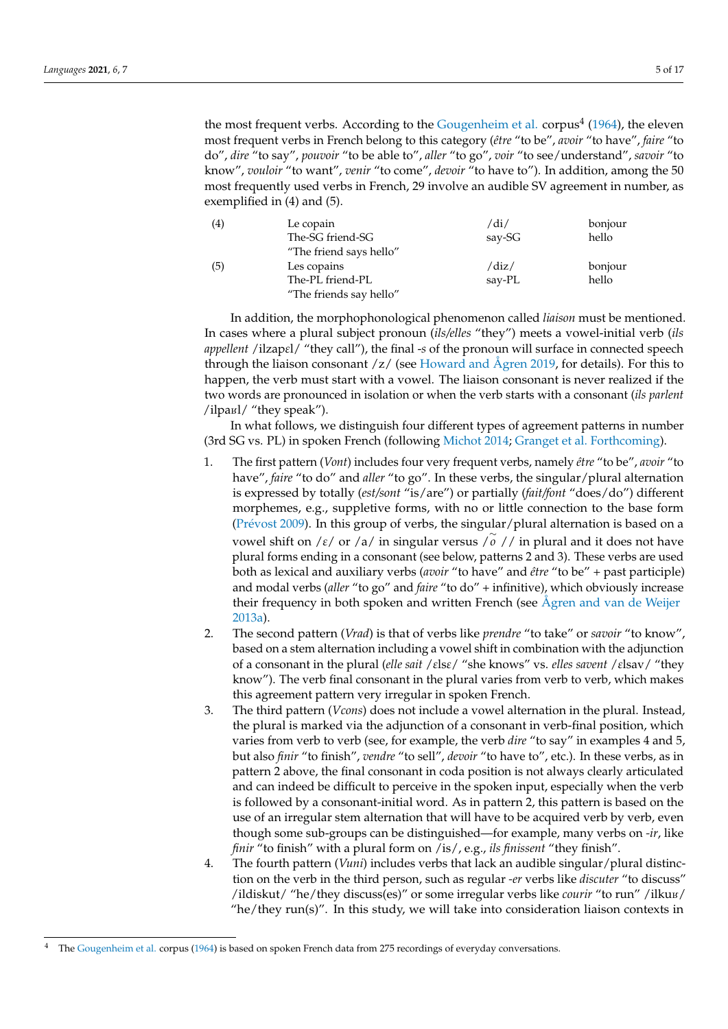the most frequent verbs. According to the [Gougenheim et al.](#page-15-22) corpus<sup>4</sup> [\(1964\)](#page-15-22), the eleven most frequent verbs in French belong to this category (*être* "to be", *avoir* "to have", *faire* "to do", *dire* "to say", *pouvoir* "to be able to", *aller* "to go", *voir* "to see/understand", *savoir* "to know", *vouloir* "to want", *venir* "to come", *devoir* "to have to"). In addition, among the 50 most frequently used verbs in French, 29 involve an audible SV agreement in number, as exemplified in (4) and (5).

| (4) | Le copain               | /di/   | bonjour |
|-----|-------------------------|--------|---------|
|     | The-SG friend-SG        | say-SG | hello   |
|     | "The friend says hello" |        |         |
| (5) | Les copains             | /diz/  | bonjour |
|     | The-PL friend-PL        | say-PL | hello   |
|     | "The friends say hello" |        |         |

In addition, the morphophonological phenomenon called *liaison* must be mentioned. In cases where a plural subject pronoun (*ils/elles* "they") meets a vowel-initial verb (*ils appellent* /ilzap*ε*l/ "they call"), the final -*s* of the pronoun will surface in connected speech through the liaison consonant  $\frac{z}{\sqrt{2}}$  (see [Howard and Ågren](#page-15-23) [2019,](#page-15-23) for details). For this to happen, the verb must start with a vowel. The liaison consonant is never realized if the two words are pronounced in isolation or when the verb starts with a consonant (*ils parlent*  $\frac{1}{\pi}$  / ilpa $\frac{1}{\pi}$  / "they speak").

In what follows, we distinguish four different types of agreement patterns in number (3rd SG vs. PL) in spoken French (following [Michot](#page-15-2) [2014;](#page-15-2) [Granget et al.](#page-15-24) [Forthcoming\)](#page-15-24).

- 1. The first pattern (*Vont*) includes four very frequent verbs, namely *être* "to be", *avoir* "to have", *faire* "to do" and *aller* "to go". In these verbs, the singular/plural alternation is expressed by totally (*est/sont* "is/are") or partially (*fait/font* "does/do") different morphemes, e.g., suppletive forms, with no or little connection to the base form (Pré[vost](#page-16-1) [2009\)](#page-16-1). In this group of verbs, the singular/plural alternation is based on a vowel shift on /*ε*/ or /a/ in singular versus /<sup>∼</sup> *o* // in plural and it does not have plural forms ending in a consonant (see below, patterns 2 and 3). These verbs are used both as lexical and auxiliary verbs (*avoir* "to have" and *être* "to be" + past participle) and modal verbs (*aller* "to go" and *faire* "to do" + infinitive), which obviously increas[e](#page-15-6) their frequency in both spoken and written French (see [Ågren and van de Weijer](#page-15-6) [2013a\)](#page-15-6).
- 2. The second pattern (*Vrad*) is that of verbs like *prendre* "to take" or *savoir* "to know", based on a stem alternation including a vowel shift in combination with the adjunction of a consonant in the plural (*elle sait* /*ε*ls*ε*/ "she knows" vs. *elles savent* /*ε*lsav/ "they know"). The verb final consonant in the plural varies from verb to verb, which makes this agreement pattern very irregular in spoken French.
- 3. The third pattern (*Vcons*) does not include a vowel alternation in the plural. Instead, the plural is marked via the adjunction of a consonant in verb-final position, which varies from verb to verb (see, for example, the verb *dire* "to say" in examples 4 and 5, but also *finir* "to finish", *vendre* "to sell", *devoir* "to have to", etc.). In these verbs, as in pattern 2 above, the final consonant in coda position is not always clearly articulated and can indeed be difficult to perceive in the spoken input, especially when the verb is followed by a consonant-initial word. As in pattern 2, this pattern is based on the use of an irregular stem alternation that will have to be acquired verb by verb, even though some sub-groups can be distinguished—for example, many verbs on *-ir*, like *finir* "to finish" with a plural form on /is/, e.g., *ils finissent* "they finish".
- 4. The fourth pattern (*Vuni*) includes verbs that lack an audible singular/plural distinction on the verb in the third person, such as regular *-er* verbs like *discuter* "to discuss" /ildiskut/ "he/they discuss(es)" or some irregular verbs like *courir* "to run" /ilkus/ "he/they run(s)". In this study, we will take into consideration liaison contexts in

The [Gougenheim et al.](#page-15-22) corpus [\(1964\)](#page-15-22) is based on spoken French data from 275 recordings of everyday conversations.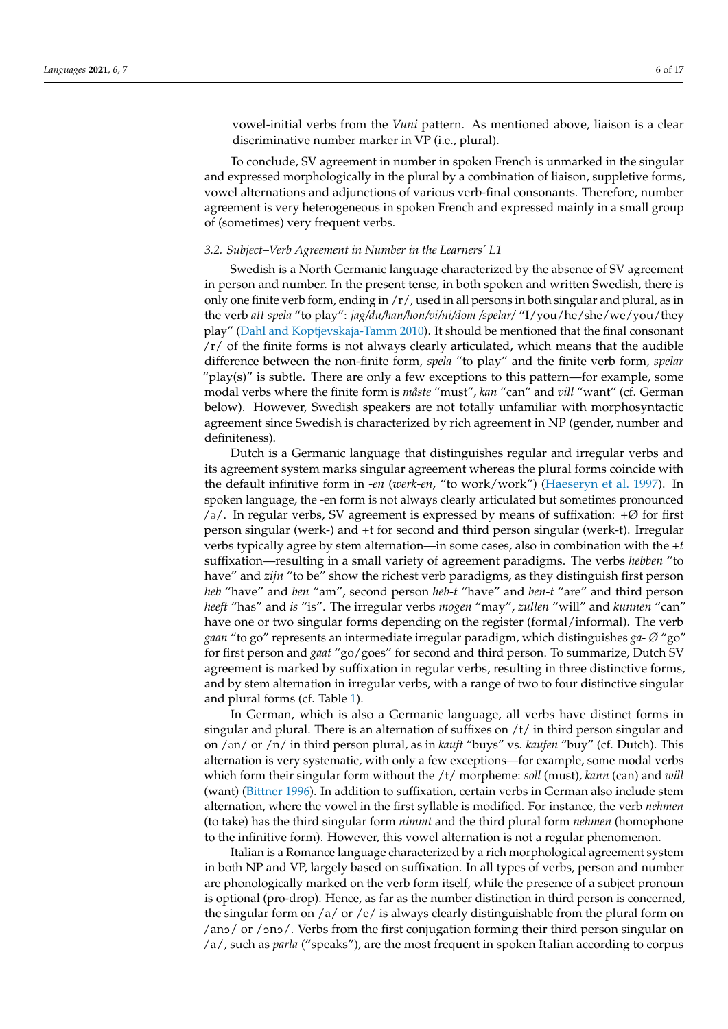vowel-initial verbs from the *Vuni* pattern. As mentioned above, liaison is a clear

To conclude, SV agreement in number in spoken French is unmarked in the singular and expressed morphologically in the plural by a combination of liaison, suppletive forms, vowel alternations and adjunctions of various verb-final consonants. Therefore, number agreement is very heterogeneous in spoken French and expressed mainly in a small group of (sometimes) very frequent verbs.

## <span id="page-5-0"></span>*3.2. Subject–Verb Agreement in Number in the Learners' L1*

discriminative number marker in VP (i.e., plural).

Swedish is a North Germanic language characterized by the absence of SV agreement in person and number. In the present tense, in both spoken and written Swedish, there is only one finite verb form, ending in /r/, used in all persons in both singular and plural, as in the verb *att spela* "to play": *jag/du/han/hon/vi/ni/dom /spelar/* "I/you/he/she/we/you/they play" [\(Dahl and Koptjevskaja-Tamm](#page-15-25) [2010\)](#page-15-25). It should be mentioned that the final consonant  $/r/$  of the finite forms is not always clearly articulated, which means that the audible difference between the non-finite form, *spela* "to play" and the finite verb form, *spelar* "play(s)" is subtle. There are only a few exceptions to this pattern—for example, some modal verbs where the finite form is *måste* "must", *kan* "can" and *vill* "want" (cf. German below). However, Swedish speakers are not totally unfamiliar with morphosyntactic agreement since Swedish is characterized by rich agreement in NP (gender, number and definiteness).

Dutch is a Germanic language that distinguishes regular and irregular verbs and its agreement system marks singular agreement whereas the plural forms coincide with the default infinitive form in *-en* (*werk-en*, "to work/work") [\(Haeseryn et al.](#page-15-26) [1997\)](#page-15-26). In spoken language, the -en form is not always clearly articulated but sometimes pronounced  $/9$ . In regular verbs, SV agreement is expressed by means of suffixation:  $+Ø$  for first person singular (werk-) and +t for second and third person singular (werk-t). Irregular verbs typically agree by stem alternation—in some cases, also in combination with the *+t* suffixation—resulting in a small variety of agreement paradigms. The verbs *hebben* "to have" and *zijn* "to be" show the richest verb paradigms, as they distinguish first person *heb* "have" and *ben* "am", second person *heb-t* "have" and *ben-t* "are" and third person *heeft* "has" and *is* "is". The irregular verbs *mogen* "may", *zullen* "will" and *kunnen* "can" have one or two singular forms depending on the register (formal/informal). The verb *gaan* "to go" represents an intermediate irregular paradigm, which distinguishes *ga- Ø* "go" for first person and *gaat* "go/goes" for second and third person. To summarize, Dutch SV agreement is marked by suffixation in regular verbs, resulting in three distinctive forms, and by stem alternation in irregular verbs, with a range of two to four distinctive singular and plural forms (cf. Table [1\)](#page-6-0).

In German, which is also a Germanic language, all verbs have distinct forms in singular and plural. There is an alternation of suffixes on  $/t/$  in third person singular and on /@n/ or /n/ in third person plural, as in *kauft* "buys" vs. *kaufen* "buy" (cf. Dutch). This alternation is very systematic, with only a few exceptions—for example, some modal verbs which form their singular form without the /t/ morpheme: *soll* (must), *kann* (can) and *will* (want) [\(Bittner](#page-15-27) [1996\)](#page-15-27). In addition to suffixation, certain verbs in German also include stem alternation, where the vowel in the first syllable is modified. For instance, the verb *nehmen* (to take) has the third singular form *nimmt* and the third plural form *nehmen* (homophone to the infinitive form). However, this vowel alternation is not a regular phenomenon.

Italian is a Romance language characterized by a rich morphological agreement system in both NP and VP, largely based on suffixation. In all types of verbs, person and number are phonologically marked on the verb form itself, while the presence of a subject pronoun is optional (pro-drop). Hence, as far as the number distinction in third person is concerned, the singular form on /a/ or /e/ is always clearly distinguishable from the plural form on  $/$ ano $/$  or  $/$ ono $/$ . Verbs from the first conjugation forming their third person singular on /a/, such as *parla* ("speaks"), are the most frequent in spoken Italian according to corpus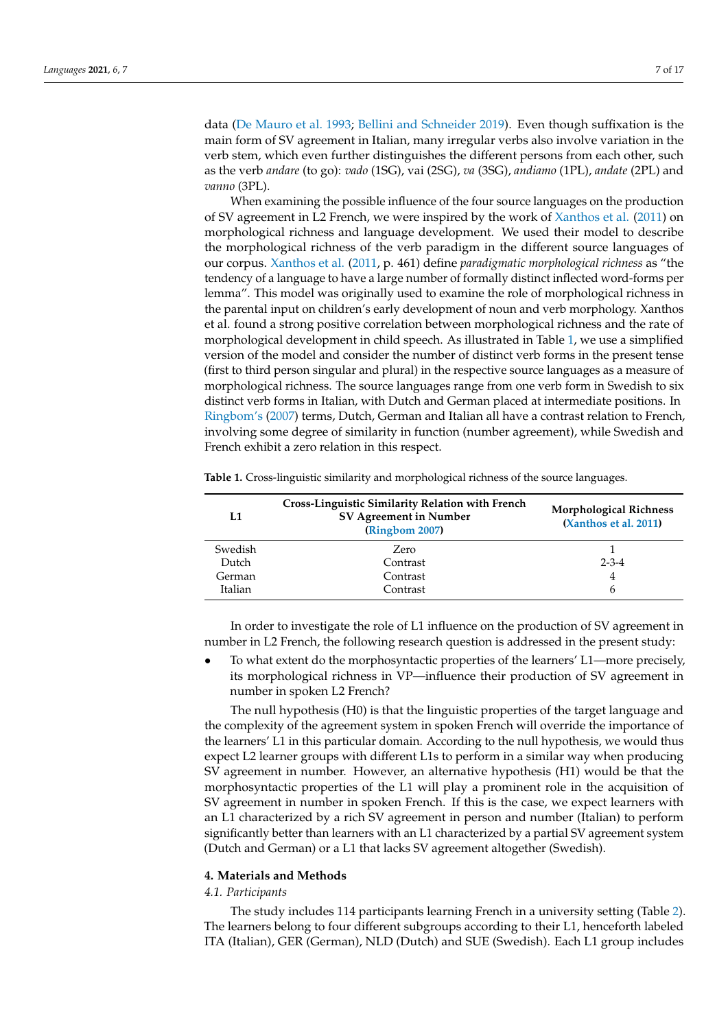data [\(De Mauro et al.](#page-15-28) [1993;](#page-15-28) [Bellini and Schneider](#page-15-29) [2019\)](#page-15-29). Even though suffixation is the main form of SV agreement in Italian, many irregular verbs also involve variation in the verb stem, which even further distinguishes the different persons from each other, such as the verb *andare* (to go): *vado* (1SG), vai (2SG), *va* (3SG), *andiamo* (1PL), *andate* (2PL) and *vanno* (3PL).

When examining the possible influence of the four source languages on the production of SV agreement in L2 French, we were inspired by the work of [Xanthos et al.](#page-16-4) [\(2011\)](#page-16-4) on morphological richness and language development. We used their model to describe the morphological richness of the verb paradigm in the different source languages of our corpus. [Xanthos et al.](#page-16-4) [\(2011,](#page-16-4) p. 461) define *paradigmatic morphological richness* as "the tendency of a language to have a large number of formally distinct inflected word-forms per lemma". This model was originally used to examine the role of morphological richness in the parental input on children's early development of noun and verb morphology. Xanthos et al. found a strong positive correlation between morphological richness and the rate of morphological development in child speech. As illustrated in Table [1,](#page-6-0) we use a simplified version of the model and consider the number of distinct verb forms in the present tense (first to third person singular and plural) in the respective source languages as a measure of morphological richness. The source languages range from one verb form in Swedish to six distinct verb forms in Italian, with Dutch and German placed at intermediate positions. In [Ringbom'](#page-16-3)s [\(2007\)](#page-16-3) terms, Dutch, German and Italian all have a contrast relation to French, involving some degree of similarity in function (number agreement), while Swedish and French exhibit a zero relation in this respect.

| L1      | <b>Cross-Linguistic Similarity Relation with French</b><br>SV Agreement in Number<br>(Ringbom 2007) | <b>Morphological Richness</b><br>(Xanthos et al. 2011) |
|---------|-----------------------------------------------------------------------------------------------------|--------------------------------------------------------|
| Swedish | Zero                                                                                                |                                                        |
| Dutch   | Contrast                                                                                            | $2 - 3 - 4$                                            |
| German  | Contrast                                                                                            | 4                                                      |
| Italian | Contrast                                                                                            | 6                                                      |

<span id="page-6-0"></span>**Table 1.** Cross-linguistic similarity and morphological richness of the source languages.

In order to investigate the role of L1 influence on the production of SV agreement in number in L2 French, the following research question is addressed in the present study:

• To what extent do the morphosyntactic properties of the learners' L1—more precisely, its morphological richness in VP—influence their production of SV agreement in number in spoken L2 French?

The null hypothesis (H0) is that the linguistic properties of the target language and the complexity of the agreement system in spoken French will override the importance of the learners' L1 in this particular domain. According to the null hypothesis, we would thus expect L2 learner groups with different L1s to perform in a similar way when producing SV agreement in number. However, an alternative hypothesis (H1) would be that the morphosyntactic properties of the L1 will play a prominent role in the acquisition of SV agreement in number in spoken French. If this is the case, we expect learners with an L1 characterized by a rich SV agreement in person and number (Italian) to perform significantly better than learners with an L1 characterized by a partial SV agreement system (Dutch and German) or a L1 that lacks SV agreement altogether (Swedish).

## **4. Materials and Methods**

## *4.1. Participants*

The study includes 114 participants learning French in a university setting (Table [2\)](#page-7-0). The learners belong to four different subgroups according to their L1, henceforth labeled ITA (Italian), GER (German), NLD (Dutch) and SUE (Swedish). Each L1 group includes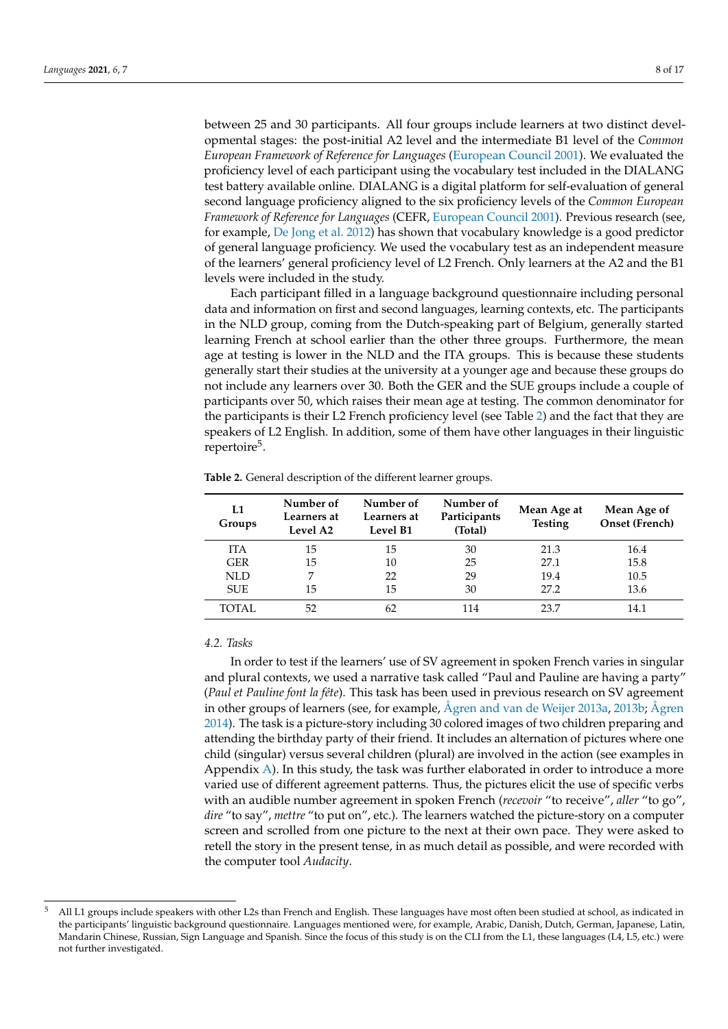between 25 and 30 participants. All four groups include learners at two distinct developmental stages: the post-initial A2 level and the intermediate B1 level of the *Common European Framework of Reference for Languages* [\(European Council](#page-15-7) [2001\)](#page-15-7). We evaluated the proficiency level of each participant using the vocabulary test included in the DIALANG test battery available online. DIALANG is a digital platform for self-evaluation of general second language proficiency aligned to the six proficiency levels of the *Common European Framework of Reference for Languages* (CEFR, [European Council](#page-15-7) [2001\)](#page-15-7). Previous research (see, for example, [De Jong et al.](#page-15-30) [2012\)](#page-15-30) has shown that vocabulary knowledge is a good predictor of general language proficiency. We used the vocabulary test as an independent measure of the learners' general proficiency level of L2 French. Only learners at the A2 and the B1 levels were included in the study.

Each participant filled in a language background questionnaire including personal data and information on first and second languages, learning contexts, etc. The participants in the NLD group, coming from the Dutch-speaking part of Belgium, generally started learning French at school earlier than the other three groups. Furthermore, the mean age at testing is lower in the NLD and the ITA groups. This is because these students generally start their studies at the university at a younger age and because these groups do not include any learners over 30. Both the GER and the SUE groups include a couple of participants over 50, which raises their mean age at testing. The common denominator for the participants is their L2 French proficiency level (see Table [2\)](#page-7-0) and the fact that they are speakers of L2 English. In addition, some of them have other languages in their linguistic repertoire<sup>5</sup>.

| L1<br>Groups | Number of<br>Learners at<br>Level A2 | Number of<br>Learners at<br>Level B1 | Number of<br>Participants<br>(Total) | Mean Age at<br><b>Testing</b> | Mean Age of<br>Onset (French) |
|--------------|--------------------------------------|--------------------------------------|--------------------------------------|-------------------------------|-------------------------------|
| <b>ITA</b>   | 15                                   | 15                                   | 30                                   | 21.3                          | 16.4                          |
| <b>GER</b>   | 15                                   | 10                                   | 25                                   | 27.1                          | 15.8                          |
| NLD          | 7                                    | 22                                   | 29                                   | 19.4                          | 10.5                          |
| <b>SUE</b>   | 15                                   | 15                                   | 30                                   | 27.2                          | 13.6                          |
| TOTAL.       | 52                                   | 62                                   | 114                                  | 23.7                          | 14.1                          |

<span id="page-7-0"></span>**Table 2.** General description of the different learner groups.

## *4.2. Tasks*

In order to test if the learners' use of SV agreement in spoken French varies in singular and plural contexts, we used a narrative task called "Paul and Pauline are having a party" (*Paul et Pauline font la fête*). This task has been used in previous research on SV agreement in other groups of learners (see, for example, [Ågren and van de Weijer](#page-15-6) [2013a,](#page-15-6) [2013b;](#page-15-3) [Ågren](#page-15-31) [2014\)](#page-15-31). The task is a picture-story including 30 colored images of two children preparing and attending the birthday party of their friend. It includes an alternation of pictures where one child (singular) versus several children (plural) are involved in the action (see examples in Appendix [A\)](#page-14-0). In this study, the task was further elaborated in order to introduce a more varied use of different agreement patterns. Thus, the pictures elicit the use of specific verbs with an audible number agreement in spoken French (*recevoir* "to receive", *aller* "to go", *dire* "to say", *mettre* "to put on", etc.). The learners watched the picture-story on a computer screen and scrolled from one picture to the next at their own pace. They were asked to retell the story in the present tense, in as much detail as possible, and were recorded with the computer tool *Audacity*.

<sup>5</sup> All L1 groups include speakers with other L2s than French and English. These languages have most often been studied at school, as indicated in the participants' linguistic background questionnaire. Languages mentioned were, for example, Arabic, Danish, Dutch, German, Japanese, Latin, Mandarin Chinese, Russian, Sign Language and Spanish. Since the focus of this study is on the CLI from the L1, these languages (L4, L5, etc.) were not further investigated.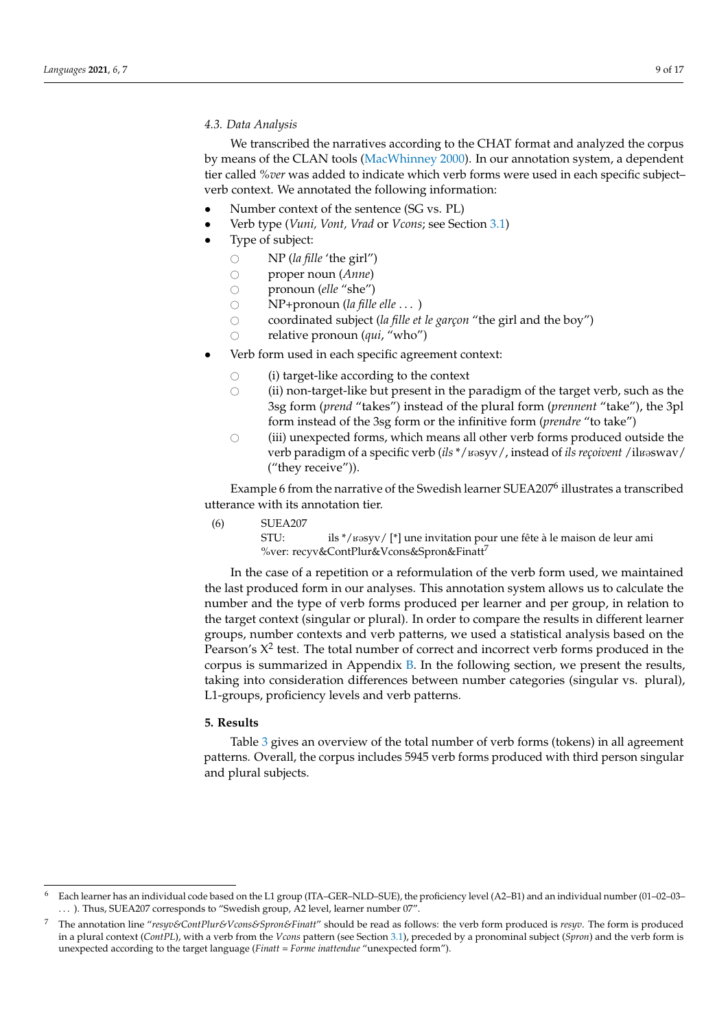## *4.3. Data Analysis*

We transcribed the narratives according to the CHAT format and analyzed the corpus by means of the CLAN tools [\(MacWhinney](#page-15-32) [2000\)](#page-15-32). In our annotation system, a dependent tier called *%ver* was added to indicate which verb forms were used in each specific subject– verb context. We annotated the following information:

- Number context of the sentence (SG vs. PL)
- Verb type (*Vuni, Vont, Vrad* or *Vcons*; see Section [3.1\)](#page-3-1)
- Type of subject:
	-
	- $\bigcirc$  NP (*la fille* 'the girl")<br> $\bigcirc$  proper noun (*Anne*) ○ proper noun (*Anne*)<br>○ pronoun (*elle* "she")
	- pronoun (*elle* "she")<br>○ NP+pronoun (*la fille*
	- ◯ NP+pronoun (*la fille elle* . . . )<br>◯ coordinated subiect (*la fille et*
	- coordinated subject (*la fille et le garçon* "the girl and the boy")<br>○ relative pronoun (*qui*, "who")
	- relative pronoun (*qui*, "who")
- Verb form used in each specific agreement context:
	- $\circ$  (i) target-like according to the context  $\circ$  (ii) non-target-like but present in the position
	- (ii) non-target-like but present in the paradigm of the target verb, such as the 3sg form (*prend* "takes") instead of the plural form (*prennent* "take"), the 3pl form instead of the 3sg form or the infinitive form (*prendre* "to take")
	- $\circ$  (iii) unexpected forms, which means all other verb forms produced outside the verb paradigm of a specific verb (*ils* \*/ $\mu$ syv/, instead of *ils reçoivent* /il $\mu$ swav/ ("they receive")).

Example 6 from the narrative of the Swedish learner SUEA207<sup>6</sup> illustrates a transcribed utterance with its annotation tier.

(6) SUEA207

STU: ils \*/ $\mu$ ssyv/ [\*] une invitation pour une fête à le maison de leur ami %ver: recyv&ContPlur&Vcons&Spron&Finatt7

In the case of a repetition or a reformulation of the verb form used, we maintained the last produced form in our analyses. This annotation system allows us to calculate the number and the type of verb forms produced per learner and per group, in relation to the target context (singular or plural). In order to compare the results in different learner groups, number contexts and verb patterns, we used a statistical analysis based on the Pearson's  $X^2$  test. The total number of correct and incorrect verb forms produced in the corpus is summarized in Appendix [B.](#page-14-1) In the following section, we present the results, taking into consideration differences between number categories (singular vs. plural), L1-groups, proficiency levels and verb patterns.

## **5. Results**

Table [3](#page-9-0) gives an overview of the total number of verb forms (tokens) in all agreement patterns. Overall, the corpus includes 5945 verb forms produced with third person singular and plural subjects.

<sup>6</sup> Each learner has an individual code based on the L1 group (ITA–GER–NLD–SUE), the proficiency level (A2–B1) and an individual number (01–02–03– ... ). Thus, SUEA207 corresponds to "Swedish group, A2 level, learner number 07".

<sup>7</sup> The annotation line "*resyv&ContPlur&Vcons&Spron&Finatt*" should be read as follows: the verb form produced is *resyv*. The form is produced in a plural context (*ContPL*), with a verb from the *Vcons* pattern (see Section [3.1\)](#page-3-1), preceded by a pronominal subject (*Spron*) and the verb form is unexpected according to the target language (*Finatt* = *Forme inattendue* "unexpected form").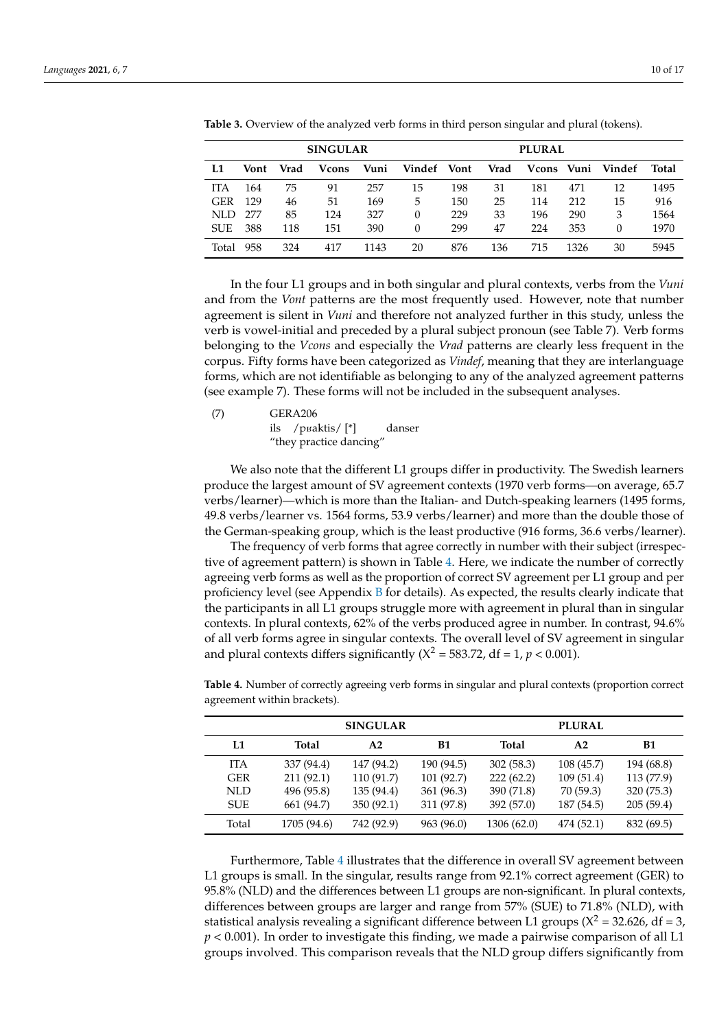| <b>SINGULAR</b> |      |      |               |      |             | <b>PLURAL</b> |      |            |      |        |       |
|-----------------|------|------|---------------|------|-------------|---------------|------|------------|------|--------|-------|
| L1              | Vont | Vrad | <b>V</b> cons | Vuni | Vindef Vont |               | Vrad | Vcons Vuni |      | Vindef | Total |
| <b>ITA</b>      | 164  | 75   | 91            | 257  | 15          | 198           | 31   | 181        | 471  | 12     | 1495  |
| <b>GER</b>      | 129  | 46   | 51            | 169  | 5           | 150           | 25   | 114        | 212  | 15     | 916   |
| NLD.            | 277  | 85   | 124           | 327  | $\Omega$    | 229           | 33   | 196        | 290  | 3      | 1564  |
| <b>SUE</b>      | 388  | 118  | 151           | 390  | $\Omega$    | 299           | 47   | 224        | 353  | 0      | 1970  |
| Total           | 958  | 324  | 417           | 1143 | 20          | 876           | 136  | 715        | 1326 | 30     | 5945  |

<span id="page-9-0"></span>**Table 3.** Overview of the analyzed verb forms in third person singular and plural (tokens).

In the four L1 groups and in both singular and plural contexts, verbs from the *Vuni* and from the *Vont* patterns are the most frequently used. However, note that number agreement is silent in *Vuni* and therefore not analyzed further in this study, unless the verb is vowel-initial and preceded by a plural subject pronoun (see Table 7). Verb forms belonging to the *Vcons* and especially the *Vrad* patterns are clearly less frequent in the corpus. Fifty forms have been categorized as *Vindef*, meaning that they are interlanguage forms, which are not identifiable as belonging to any of the analyzed agreement patterns (see example 7). These forms will not be included in the subsequent analyses.

(7) GERA206

ils / $p$ *y*aktis/ $[$ <sup>\*</sup>] danser "they practice dancing"

We also note that the different L1 groups differ in productivity. The Swedish learners produce the largest amount of SV agreement contexts (1970 verb forms—on average, 65.7 verbs/learner)—which is more than the Italian- and Dutch-speaking learners (1495 forms, 49.8 verbs/learner vs. 1564 forms, 53.9 verbs/learner) and more than the double those of the German-speaking group, which is the least productive (916 forms, 36.6 verbs/learner).

The frequency of verb forms that agree correctly in number with their subject (irrespective of agreement pattern) is shown in Table [4.](#page-9-1) Here, we indicate the number of correctly agreeing verb forms as well as the proportion of correct SV agreement per L1 group and per proficiency level (see Appendix [B](#page-14-1) for details). As expected, the results clearly indicate that the participants in all L1 groups struggle more with agreement in plural than in singular contexts. In plural contexts, 62% of the verbs produced agree in number. In contrast, 94.6% of all verb forms agree in singular contexts. The overall level of SV agreement in singular and plural contexts differs significantly  $(X^2 = 583.72, df = 1, p < 0.001)$ .

|            |             | <b>SINGULAR</b> |            |              | <b>PLURAL</b>  |            |
|------------|-------------|-----------------|------------|--------------|----------------|------------|
| L1         | Total       | A2              | <b>B1</b>  | <b>Total</b> | A <sub>2</sub> | <b>B1</b>  |
| <b>ITA</b> | 337 (94.4)  | 147 (94.2)      | 190 (94.5) | 302(58.3)    | 108 (45.7)     | 194 (68.8) |
| <b>GER</b> | 211(92.1)   | 110 (91.7)      | 101 (92.7) | 222(62.2)    | 109(51.4)      | 113 (77.9) |
| NLD.       | 496 (95.8)  | 135 (94.4)      | 361 (96.3) | 390 (71.8)   | 70 (59.3)      | 320 (75.3) |
| SUE.       | 661 (94.7)  | 350 (92.1)      | 311 (97.8) | 392 (57.0)   | 187 (54.5)     | 205(59.4)  |
| Total      | 1705 (94.6) | 742 (92.9)      | 963 (96.0) | 1306 (62.0)  | 474 (52.1)     | 832 (69.5) |

<span id="page-9-1"></span>**Table 4.** Number of correctly agreeing verb forms in singular and plural contexts (proportion correct agreement within brackets).

Furthermore, Table [4](#page-9-1) illustrates that the difference in overall SV agreement between L1 groups is small. In the singular, results range from 92.1% correct agreement (GER) to 95.8% (NLD) and the differences between L1 groups are non-significant. In plural contexts, differences between groups are larger and range from 57% (SUE) to 71.8% (NLD), with statistical analysis revealing a significant difference between L1 groups ( $X^2 = 32.626$ , df = 3, *p* < 0.001). In order to investigate this finding, we made a pairwise comparison of all L1 groups involved. This comparison reveals that the NLD group differs significantly from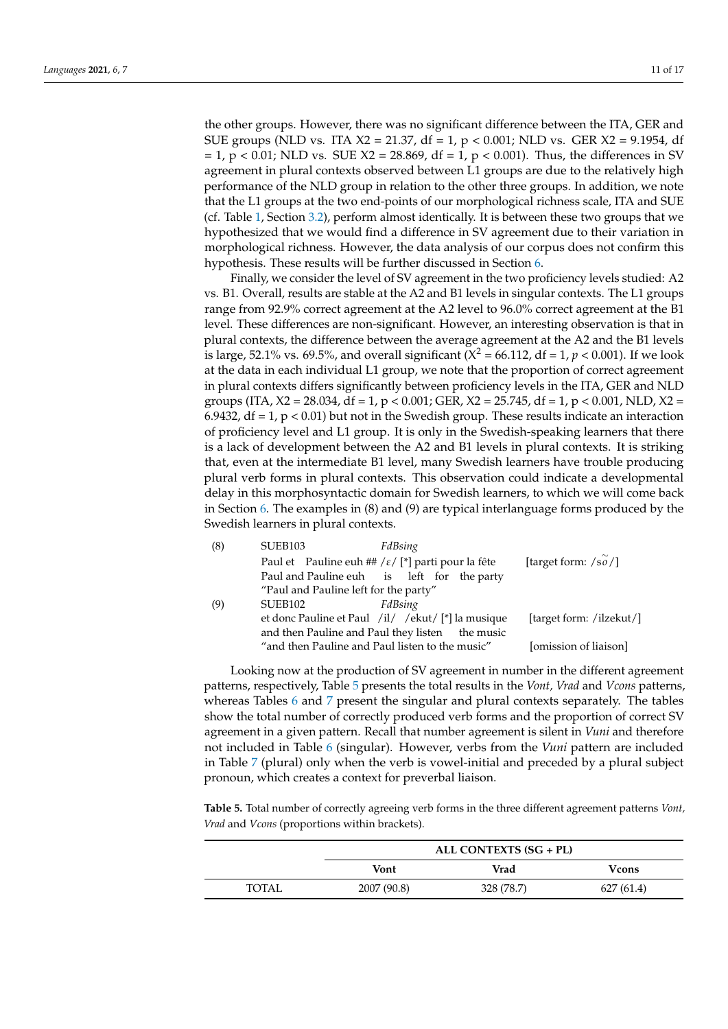the other groups. However, there was no significant difference between the ITA, GER and SUE groups (NLD vs. ITA  $X2 = 21.37$ , df = 1, p < 0.001; NLD vs. GER  $X2 = 9.1954$ , df  $= 1$ ,  $p < 0.01$ ; NLD vs. SUE X2 = 28.869, df = 1,  $p < 0.001$ ). Thus, the differences in SV agreement in plural contexts observed between L1 groups are due to the relatively high performance of the NLD group in relation to the other three groups. In addition, we note that the L1 groups at the two end-points of our morphological richness scale, ITA and SUE (cf. Table [1,](#page-6-0) Section [3.2\)](#page-5-0), perform almost identically. It is between these two groups that we hypothesized that we would find a difference in SV agreement due to their variation in morphological richness. However, the data analysis of our corpus does not confirm this hypothesis. These results will be further discussed in Section [6.](#page-12-0)

Finally, we consider the level of SV agreement in the two proficiency levels studied: A2 vs. B1. Overall, results are stable at the A2 and B1 levels in singular contexts. The L1 groups range from 92.9% correct agreement at the A2 level to 96.0% correct agreement at the B1 level. These differences are non-significant. However, an interesting observation is that in plural contexts, the difference between the average agreement at the A2 and the B1 levels is large, 52.1% vs. 69.5%, and overall significant ( $X^2 = 66.112$ , df = 1,  $p < 0.001$ ). If we look at the data in each individual L1 group, we note that the proportion of correct agreement in plural contexts differs significantly between proficiency levels in the ITA, GER and NLD groups (ITA,  $X2 = 28.034$ , df = 1, p < 0.001; GER,  $X2 = 25.745$ , df = 1, p < 0.001, NLD,  $X2 =$ 6.9432,  $df = 1$ ,  $p < 0.01$ ) but not in the Swedish group. These results indicate an interaction of proficiency level and L1 group. It is only in the Swedish-speaking learners that there is a lack of development between the A2 and B1 levels in plural contexts. It is striking that, even at the intermediate B1 level, many Swedish learners have trouble producing plural verb forms in plural contexts. This observation could indicate a developmental delay in this morphosyntactic domain for Swedish learners, to which we will come back in Section [6.](#page-12-0) The examples in (8) and (9) are typical interlanguage forms produced by the Swedish learners in plural contexts.

| (8) | SUEB <sub>103</sub>                             | FdBsing                                                         |                              |
|-----|-------------------------------------------------|-----------------------------------------------------------------|------------------------------|
|     |                                                 | Paul et Pauline euh ## / $\varepsilon$ / [*] parti pour la fête | [target form: $\sqrt{50}/$ ] |
|     |                                                 | Paul and Pauline euh is left for the party                      |                              |
|     | "Paul and Pauline left for the party"           |                                                                 |                              |
| (9) | SUEB <sub>102</sub>                             | FdBsing                                                         |                              |
|     |                                                 | et donc Pauline et Paul /il/ /ekut/ [*] la musique              | [target form: /ilzekut/]     |
|     |                                                 | and then Pauline and Paul they listen the music                 |                              |
|     | "and then Pauline and Paul listen to the music" |                                                                 | [omission of liaison]        |
|     |                                                 |                                                                 |                              |

Looking now at the production of SV agreement in number in the different agreement patterns, respectively, Table [5](#page-10-0) presents the total results in the *Vont, Vrad* and *Vcons* patterns, whereas Tables [6](#page-11-0) and [7](#page-11-1) present the singular and plural contexts separately. The tables show the total number of correctly produced verb forms and the proportion of correct SV agreement in a given pattern. Recall that number agreement is silent in *Vuni* and therefore not included in Table [6](#page-11-0) (singular). However, verbs from the *Vuni* pattern are included in Table [7](#page-11-1) (plural) only when the verb is vowel-initial and preceded by a plural subject pronoun, which creates a context for preverbal liaison.

<span id="page-10-0"></span>**Table 5.** Total number of correctly agreeing verb forms in the three different agreement patterns *Vont, Vrad* and *Vcons* (proportions within brackets).

|       | ALL CONTEXTS (SG + PL)        |            |           |  |  |  |
|-------|-------------------------------|------------|-----------|--|--|--|
|       | Vrad<br>Vont<br><b>V</b> cons |            |           |  |  |  |
| TOTAL | 2007 (90.8)                   | 328 (78.7) | 627(61.4) |  |  |  |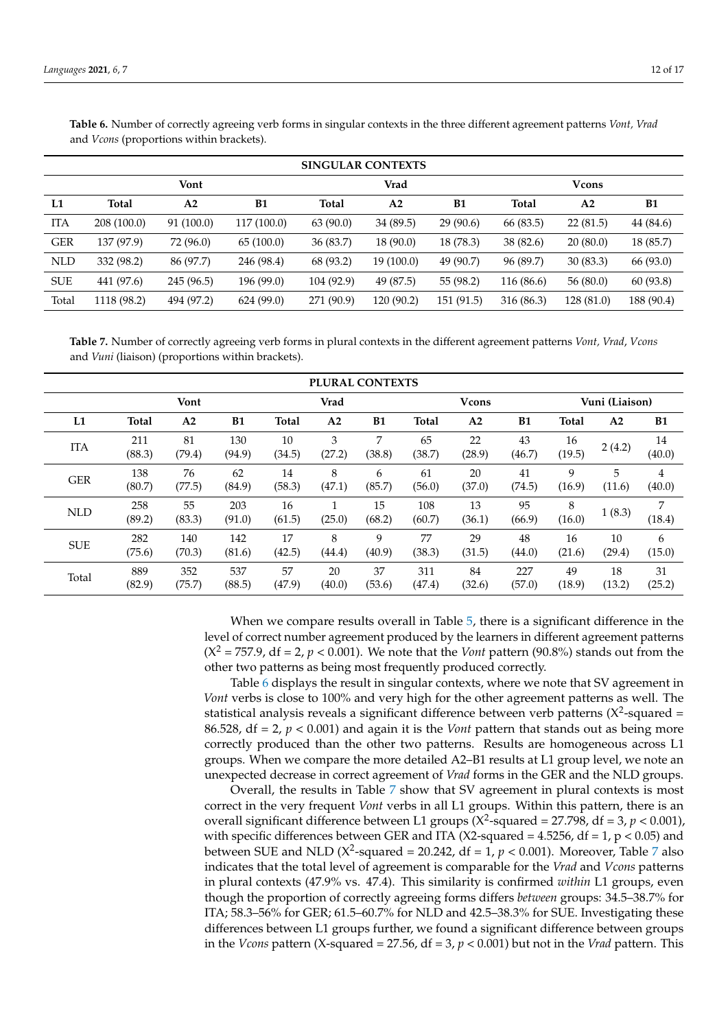|     | <b>SINGULAR CONTEXTS</b> |            |             |              |                |           |            |               |           |
|-----|--------------------------|------------|-------------|--------------|----------------|-----------|------------|---------------|-----------|
|     |                          | Vont       |             |              | Vrad           |           |            | <b>V</b> cons |           |
| L1  | <b>Total</b>             | A2         | B1          | <b>Total</b> | A <sub>2</sub> | B1        | Total      | A2            | B1        |
| ITA | 208 (100.0)              | 91 (100.0) | 117 (100.0) | 63(90.0)     | 34 (89.5)      | 29(90.6)  | 66 (83.5)  | 22(81.5)      | 44 (84.6) |
| GER | 137 (97.9)               | 72 (96.0)  | 65(100.0)   | 36 (83.7)    | 18(90.0)       | 18 (78.3) | 38(82.6)   | 20(80.0)      | 18 (85.7) |
| NLD | 332 (98.2)               | 86 (97.7)  | 246 (98.4)  | 68 (93.2)    | 19 (100.0)     | 49 (90.7) | 96 (89.7)  | 30(83.3)      | 66 (93.0) |
| SUE | 441 (97.6)               | 245 (96.5) | 196 (99.0)  | 104 (92.9)   | 49 (87.5)      | 55 (98.2) | 116 (86.6) | 56(80.0)      | 60 (93.8) |

<span id="page-11-0"></span>**Table 6.** Number of correctly agreeing verb forms in singular contexts in the three different agreement patterns *Vont, Vrad* and *Vcons* (proportions within brackets).

<span id="page-11-1"></span>**Table 7.** Number of correctly agreeing verb forms in plural contexts in the different agreement patterns *Vont, Vrad*, *Vcons* and *Vuni* (liaison) (proportions within brackets).

Total 1118 (98.2) 494 (97.2) 624 (99.0) 271 (90.9) 120 (90.2) 151 (91.5) 316 (86.3) 128 (81.0) 188 (90.4)

|                     | PLURAL CONTEXTS |                |               |              |                |              |               |                |               |                |                |              |
|---------------------|-----------------|----------------|---------------|--------------|----------------|--------------|---------------|----------------|---------------|----------------|----------------|--------------|
| Vont<br><b>Vrad</b> |                 |                |               |              |                |              |               | <b>V</b> cons  |               | Vuni (Liaison) |                |              |
| L1                  | <b>Total</b>    | A <sub>2</sub> | <b>B1</b>     | <b>Total</b> | A <sub>2</sub> | <b>B1</b>    | <b>Total</b>  | A <sub>2</sub> | <b>B1</b>     | <b>Total</b>   | A <sub>2</sub> | <b>B1</b>    |
| <b>ITA</b>          | 211<br>(88.3)   | 81<br>(79.4)   | 130<br>(94.9) | 10<br>(34.5) | 3<br>(27.2)    | 7<br>(38.8)  | 65<br>(38.7)  | 22<br>(28.9)   | 43<br>(46.7)  | 16<br>(19.5)   | 2(4.2)         | 14<br>(40.0) |
| <b>GER</b>          | 138<br>(80.7)   | 76<br>(77.5)   | 62<br>(84.9)  | 14<br>(58.3) | 8<br>(47.1)    | 6<br>(85.7)  | 61<br>(56.0)  | 20<br>(37.0)   | 41<br>(74.5)  | 9<br>(16.9)    | 5<br>(11.6)    | 4<br>(40.0)  |
| <b>NLD</b>          | 258<br>(89.2)   | 55<br>(83.3)   | 203<br>(91.0) | 16<br>(61.5) | (25.0)         | 15<br>(68.2) | 108<br>(60.7) | 13<br>(36.1)   | 95<br>(66.9)  | 8<br>(16.0)    | 1(8.3)         | 7<br>(18.4)  |
| <b>SUE</b>          | 282<br>(75.6)   | 140<br>(70.3)  | 142<br>(81.6) | 17<br>(42.5) | 8<br>(44.4)    | 9<br>(40.9)  | 77<br>(38.3)  | 29<br>(31.5)   | 48<br>(44.0)  | 16<br>(21.6)   | 10<br>(29.4)   | 6<br>(15.0)  |
| Total               | 889<br>(82.9)   | 352<br>(75.7)  | 537<br>(88.5) | 57<br>(47.9) | 20<br>(40.0)   | 37<br>(53.6) | 311<br>(47.4) | 84<br>(32.6)   | 227<br>(57.0) | 49<br>(18.9)   | 18<br>(13.2)   | 31<br>(25.2) |

When we compare results overall in Table [5,](#page-10-0) there is a significant difference in the level of correct number agreement produced by the learners in different agreement patterns  $(X^2 = 757.9, df = 2, p < 0.001)$ . We note that the *Vont* pattern (90.8%) stands out from the other two patterns as being most frequently produced correctly.

Table [6](#page-11-0) displays the result in singular contexts, where we note that SV agreement in *Vont* verbs is close to 100% and very high for the other agreement patterns as well. The statistical analysis reveals a significant difference between verb patterns (X<sup>2</sup>-squared = 86.528,  $df = 2$ ,  $p < 0.001$  and again it is the *Vont* pattern that stands out as being more correctly produced than the other two patterns. Results are homogeneous across L1 groups. When we compare the more detailed A2–B1 results at L1 group level, we note an unexpected decrease in correct agreement of *Vrad* forms in the GER and the NLD groups.

Overall, the results in Table [7](#page-11-1) show that SV agreement in plural contexts is most correct in the very frequent *Vont* verbs in all L1 groups. Within this pattern, there is an overall significant difference between L1 groups ( $X^2$ -squared = 27.798, df = 3,  $p < 0.001$ ), with specific differences between GER and ITA (X2-squared  $= 4.5256$ , df  $= 1$ , p  $< 0.05$ ) and between SUE and NLD ( $X^2$ -squared = 20.242, df = 1,  $p < 0.001$ ). Moreover, Table [7](#page-11-1) also indicates that the total level of agreement is comparable for the *Vrad* and *Vcons* patterns in plural contexts (47.9% vs. 47.4). This similarity is confirmed *within* L1 groups, even though the proportion of correctly agreeing forms differs *between* groups: 34.5–38.7% for ITA; 58.3–56% for GER; 61.5–60.7% for NLD and 42.5–38.3% for SUE. Investigating these differences between L1 groups further, we found a significant difference between groups in the *Vcons* pattern (X-squared =  $27.56$ , df =  $3$ ,  $p < 0.001$ ) but not in the *Vrad* pattern. This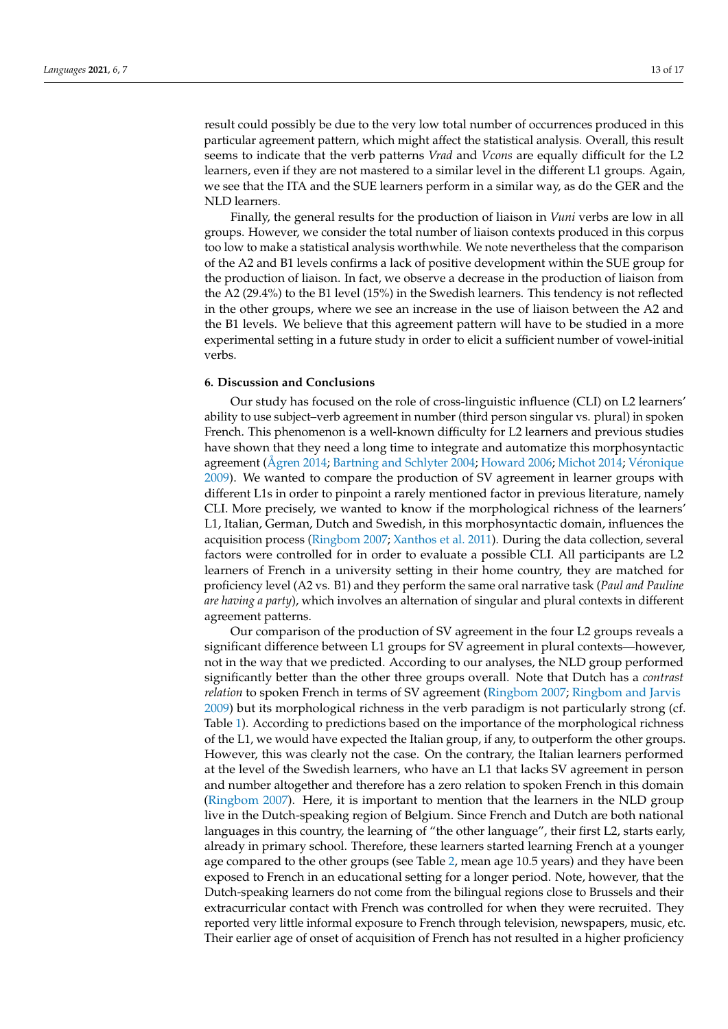result could possibly be due to the very low total number of occurrences produced in this particular agreement pattern, which might affect the statistical analysis. Overall, this result seems to indicate that the verb patterns *Vrad* and *Vcons* are equally difficult for the L2 learners, even if they are not mastered to a similar level in the different L1 groups. Again, we see that the ITA and the SUE learners perform in a similar way, as do the GER and the NLD learners.

Finally, the general results for the production of liaison in *Vuni* verbs are low in all groups. However, we consider the total number of liaison contexts produced in this corpus too low to make a statistical analysis worthwhile. We note nevertheless that the comparison of the A2 and B1 levels confirms a lack of positive development within the SUE group for the production of liaison. In fact, we observe a decrease in the production of liaison from the A2 (29.4%) to the B1 level (15%) in the Swedish learners. This tendency is not reflected in the other groups, where we see an increase in the use of liaison between the A2 and the B1 levels. We believe that this agreement pattern will have to be studied in a more experimental setting in a future study in order to elicit a sufficient number of vowel-initial verbs.

## <span id="page-12-0"></span>**6. Discussion and Conclusions**

Our study has focused on the role of cross-linguistic influence (CLI) on L2 learners' ability to use subject–verb agreement in number (third person singular vs. plural) in spoken French. This phenomenon is a well-known difficulty for L2 learners and previous studies have shown that they need a long time to integrate and automatize this morphosyntactic agreement [\(Ågren](#page-15-31) [2014;](#page-15-31) [Bartning and Schlyter](#page-15-0) [2004;](#page-15-0) [Howard](#page-15-1) [2006;](#page-15-1) [Michot](#page-15-2) [2014;](#page-15-2) Vé[ronique](#page-16-0) [2009\)](#page-16-0). We wanted to compare the production of SV agreement in learner groups with different L1s in order to pinpoint a rarely mentioned factor in previous literature, namely CLI. More precisely, we wanted to know if the morphological richness of the learners' L1, Italian, German, Dutch and Swedish, in this morphosyntactic domain, influences the acquisition process [\(Ringbom](#page-16-3) [2007;](#page-16-3) [Xanthos et al.](#page-16-4) [2011\)](#page-16-4). During the data collection, several factors were controlled for in order to evaluate a possible CLI. All participants are L2 learners of French in a university setting in their home country, they are matched for proficiency level (A2 vs. B1) and they perform the same oral narrative task (*Paul and Pauline are having a party*), which involves an alternation of singular and plural contexts in different agreement patterns.

Our comparison of the production of SV agreement in the four L2 groups reveals a significant difference between L1 groups for SV agreement in plural contexts—however, not in the way that we predicted. According to our analyses, the NLD group performed significantly better than the other three groups overall. Note that Dutch has a *contrast relation* to spoken French in terms of SV agreement [\(Ringbom](#page-16-3) [2007;](#page-16-3) [Ringbom and Jarvis](#page-16-16) [2009\)](#page-16-16) but its morphological richness in the verb paradigm is not particularly strong (cf. Table [1\)](#page-6-0). According to predictions based on the importance of the morphological richness of the L1, we would have expected the Italian group, if any, to outperform the other groups. However, this was clearly not the case. On the contrary, the Italian learners performed at the level of the Swedish learners, who have an L1 that lacks SV agreement in person and number altogether and therefore has a zero relation to spoken French in this domain [\(Ringbom](#page-16-3) [2007\)](#page-16-3). Here, it is important to mention that the learners in the NLD group live in the Dutch-speaking region of Belgium. Since French and Dutch are both national languages in this country, the learning of "the other language", their first L2, starts early, already in primary school. Therefore, these learners started learning French at a younger age compared to the other groups (see Table [2,](#page-7-0) mean age 10.5 years) and they have been exposed to French in an educational setting for a longer period. Note, however, that the Dutch-speaking learners do not come from the bilingual regions close to Brussels and their extracurricular contact with French was controlled for when they were recruited. They reported very little informal exposure to French through television, newspapers, music, etc. Their earlier age of onset of acquisition of French has not resulted in a higher proficiency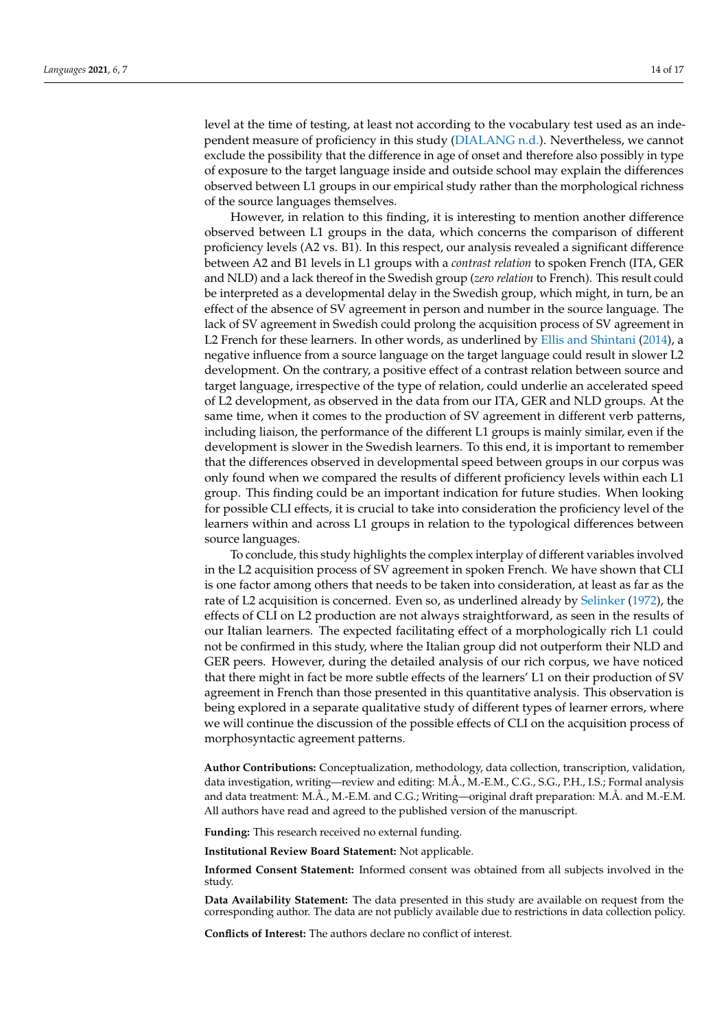level at the time of testing, at least not according to the vocabulary test used as an independent measure of proficiency in this study [\(DIALANG](#page-15-33) [n.d.\)](#page-15-33). Nevertheless, we cannot exclude the possibility that the difference in age of onset and therefore also possibly in type of exposure to the target language inside and outside school may explain the differences observed between L1 groups in our empirical study rather than the morphological richness of the source languages themselves.

However, in relation to this finding, it is interesting to mention another difference observed between L1 groups in the data, which concerns the comparison of different proficiency levels (A2 vs. B1). In this respect, our analysis revealed a significant difference between A2 and B1 levels in L1 groups with a *contrast relation* to spoken French (ITA, GER and NLD) and a lack thereof in the Swedish group (*zero relation* to French). This result could be interpreted as a developmental delay in the Swedish group, which might, in turn, be an effect of the absence of SV agreement in person and number in the source language. The lack of SV agreement in Swedish could prolong the acquisition process of SV agreement in L2 French for these learners. In other words, as underlined by [Ellis and Shintani](#page-15-12) [\(2014\)](#page-15-12), a negative influence from a source language on the target language could result in slower L2 development. On the contrary, a positive effect of a contrast relation between source and target language, irrespective of the type of relation, could underlie an accelerated speed of L2 development, as observed in the data from our ITA, GER and NLD groups. At the same time, when it comes to the production of SV agreement in different verb patterns, including liaison, the performance of the different L1 groups is mainly similar, even if the development is slower in the Swedish learners. To this end, it is important to remember that the differences observed in developmental speed between groups in our corpus was only found when we compared the results of different proficiency levels within each L1 group. This finding could be an important indication for future studies. When looking for possible CLI effects, it is crucial to take into consideration the proficiency level of the learners within and across L1 groups in relation to the typological differences between source languages.

To conclude, this study highlights the complex interplay of different variables involved in the L2 acquisition process of SV agreement in spoken French. We have shown that CLI is one factor among others that needs to be taken into consideration, at least as far as the rate of L2 acquisition is concerned. Even so, as underlined already by [Selinker](#page-16-10) [\(1972\)](#page-16-10), the effects of CLI on L2 production are not always straightforward, as seen in the results of our Italian learners. The expected facilitating effect of a morphologically rich L1 could not be confirmed in this study, where the Italian group did not outperform their NLD and GER peers. However, during the detailed analysis of our rich corpus, we have noticed that there might in fact be more subtle effects of the learners' L1 on their production of SV agreement in French than those presented in this quantitative analysis. This observation is being explored in a separate qualitative study of different types of learner errors, where we will continue the discussion of the possible effects of CLI on the acquisition process of morphosyntactic agreement patterns.

**Author Contributions:** Conceptualization, methodology, data collection, transcription, validation, data investigation, writing—review and editing: M.Å., M.-E.M., C.G., S.G., P.H., I.S.; Formal analysis and data treatment: M.Å., M.-E.M. and C.G.; Writing—original draft preparation: M.Å. and M.-E.M. All authors have read and agreed to the published version of the manuscript.

**Funding:** This research received no external funding.

**Institutional Review Board Statement:** Not applicable.

**Informed Consent Statement:** Informed consent was obtained from all subjects involved in the study.

**Data Availability Statement:** The data presented in this study are available on request from the corresponding author. The data are not publicly available due to restrictions in data collection policy.

**Conflicts of Interest:** The authors declare no conflict of interest.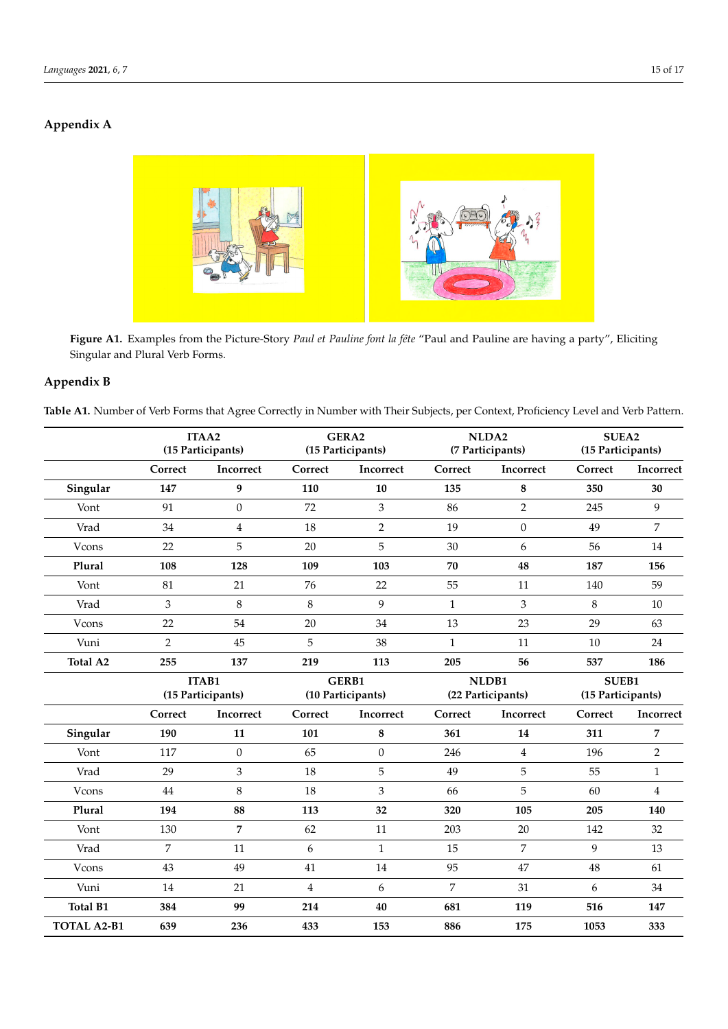#### <span id="page-14-0"></span>**Appendix A** *Languages* **2021**, *6*, x FOR PEER REVIEW 15 of 17



Figure A1. Examples from the Picture-Story Paul et Pauline font la fête "Paul and Pauline are having a party", Eliciting Singular and Plural Verb Forms. Singular and Plural Verb Forms.

## <span id="page-14-1"></span>**Appendix B**

Table A1. Number of Verb Forms that Agree Correctly in Number with Their Subjects, per Context, Proficiency Level and Verb Pattern.

|                    |                | ITAA2<br>(15 Participants) |                | GERA2<br>(15 Participants) |              | NLDA2<br>(7 Participants) | SUEA2<br>(15 Participants) |                   |  |
|--------------------|----------------|----------------------------|----------------|----------------------------|--------------|---------------------------|----------------------------|-------------------|--|
|                    | Correct        | Incorrect                  | Correct        | Incorrect                  | Correct      | Incorrect                 | Correct                    | Incorrect         |  |
| Singular           | 147            | 9                          | 110            | 10                         | 135          | 8                         | 350                        | 30                |  |
| Vont               | 91             | $\boldsymbol{0}$           | 72             | 3                          | 86           | $\overline{2}$            | 245                        | 9                 |  |
| Vrad               | 34             | $\overline{4}$             | 18             | $\overline{2}$             | 19           | $\boldsymbol{0}$          | 49                         | $\overline{7}$    |  |
| Vcons              | 22             | 5                          | 20             | 5                          | 30           | 6                         | 56                         | 14                |  |
| Plural             | 108            | 128                        | 109            | 103                        | 70           | 48                        | 187                        | 156               |  |
| Vont               | 81             | 21                         | 76             | 22                         | 55           | 11                        | 140                        | 59                |  |
| Vrad               | 3              | $\,8\,$                    | 8              | 9                          | $\mathbf{1}$ | 3                         | $\,8\,$                    | 10                |  |
| Vcons              | 22             | 54                         | 20             | 34                         | 13           | 23                        | 29                         | 63                |  |
| Vuni               | $\overline{2}$ | 45                         | 5              | 38                         | $\mathbf{1}$ | 11                        | 10                         | $24\,$            |  |
| <b>Total A2</b>    | 255            | 137                        | 219            | 113                        | 205          | 56                        | 537                        | 186               |  |
|                    | <b>ITAB1</b>   |                            | GERB1          |                            |              | NLDB1                     | SUEB1                      |                   |  |
|                    |                | (15 Participants)          |                | (10 Participants)          |              | (22 Participants)         |                            | (15 Participants) |  |
|                    | Correct        | Incorrect                  | Correct        | Incorrect                  | Correct      | Incorrect                 | Correct                    | Incorrect         |  |
| Singular           | 190            | 11                         | 101            | 8                          | 361          | 14                        | 311                        | 7                 |  |
| Vont               | 117            | $\boldsymbol{0}$           | 65             | $\boldsymbol{0}$           | 246          | $\overline{4}$            | 196                        | $\overline{2}$    |  |
| Vrad               | 29             | 3                          | 18             | 5                          | 49           | 5                         | 55                         | $\mathbf{1}$      |  |
| Vcons              | 44             | 8                          | 18             | 3                          | 66           | 5                         | 60                         | $\overline{4}$    |  |
| Plural             | 194            | 88                         | 113            | 32                         | 320          | 105                       | 205                        | 140               |  |
| Vont               | 130            | 7                          | 62             | 11                         | 203          | 20                        | 142                        | 32                |  |
| Vrad               | 7              | 11                         | 6              | $\mathbf{1}$               | 15           | 7                         | 9                          | 13                |  |
| Vcons              | 43             | 49                         | 41             | $14\,$                     | 95           | 47                        | $\rm 48$                   | 61                |  |
| Vuni               | 14             | 21                         | $\overline{4}$ | 6                          | 7            | 31                        | 6                          | 34                |  |
| <b>Total B1</b>    | 384            | 99                         | 214            | 40                         | 681          | 119                       | 516                        | 147               |  |
| <b>TOTAL A2-B1</b> | 639            | 236                        | 433            | 153                        | 886          | 175                       | 1053                       | 333               |  |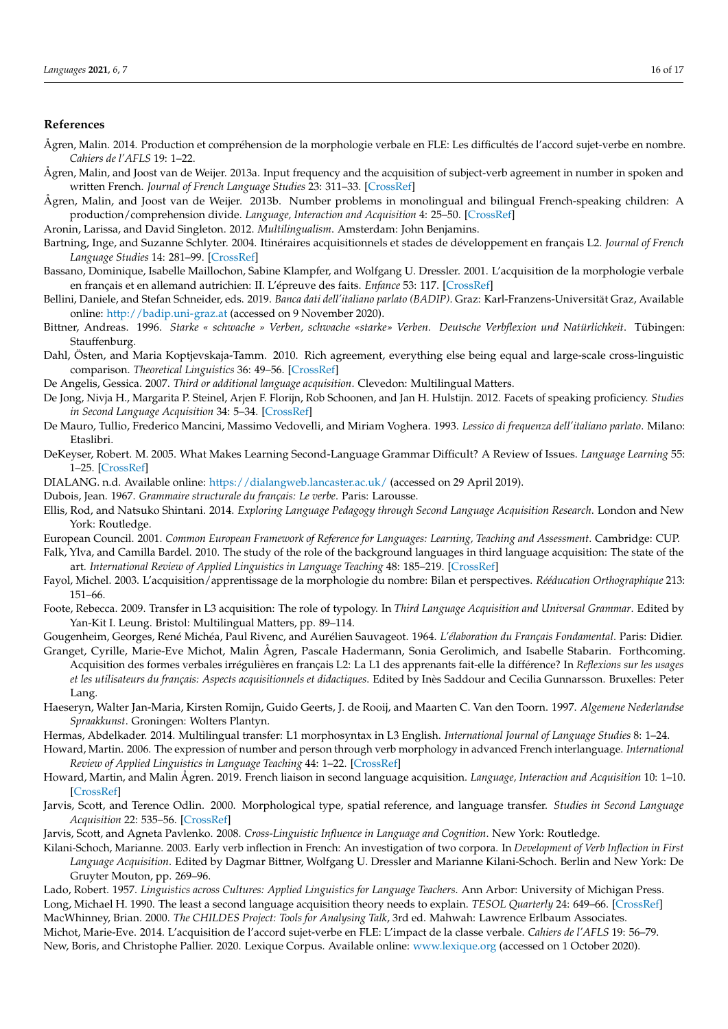## **References**

- <span id="page-15-31"></span>Ågren, Malin. 2014. Production et compréhension de la morphologie verbale en FLE: Les difficultés de l'accord sujet-verbe en nombre. *Cahiers de l'AFLS* 19: 1–22.
- <span id="page-15-6"></span>Ågren, Malin, and Joost van de Weijer. 2013a. Input frequency and the acquisition of subject-verb agreement in number in spoken and written French. *Journal of French Language Studies* 23: 311–33. [\[CrossRef\]](http://doi.org/10.1017/S0959269512000312)
- <span id="page-15-3"></span>Ågren, Malin, and Joost van de Weijer. 2013b. Number problems in monolingual and bilingual French-speaking children: A production/comprehension divide. *Language, Interaction and Acquisition* 4: 25–50. [\[CrossRef\]](http://doi.org/10.1075/lia.4.1.02agr)

<span id="page-15-9"></span>Aronin, Larissa, and David Singleton. 2012. *Multilingualism*. Amsterdam: John Benjamins.

- <span id="page-15-0"></span>Bartning, Inge, and Suzanne Schlyter. 2004. Itinéraires acquisitionnels et stades de développement en français L2. *Journal of French Language Studies* 14: 281–99. [\[CrossRef\]](http://doi.org/10.1017/S0959269504001802)
- <span id="page-15-4"></span>Bassano, Dominique, Isabelle Maillochon, Sabine Klampfer, and Wolfgang U. Dressler. 2001. L'acquisition de la morphologie verbale en français et en allemand autrichien: II. L'épreuve des faits. *Enfance* 53: 117. [\[CrossRef\]](http://doi.org/10.3917/enf.532.0117)
- <span id="page-15-29"></span>Bellini, Daniele, and Stefan Schneider, eds. 2019. *Banca dati dell'italiano parlato (BADIP)*. Graz: Karl-Franzens-Universität Graz, Available online: <http://badip.uni-graz.at> (accessed on 9 November 2020).
- <span id="page-15-27"></span>Bittner, Andreas. 1996. *Starke « schwache » Verben, schwache «starke» Verben. Deutsche Verbflexion und Natürlichkeit*. Tübingen: Stauffenburg.
- <span id="page-15-25"></span>Dahl, Östen, and Maria Koptjevskaja-Tamm. 2010. Rich agreement, everything else being equal and large-scale cross-linguistic comparison. *Theoretical Linguistics* 36: 49–56. [\[CrossRef\]](http://doi.org/10.1515/thli.2010.002)
- <span id="page-15-18"></span>De Angelis, Gessica. 2007. *Third or additional language acquisition*. Clevedon: Multilingual Matters.
- <span id="page-15-30"></span>De Jong, Nivja H., Margarita P. Steinel, Arjen F. Florijn, Rob Schoonen, and Jan H. Hulstijn. 2012. Facets of speaking proficiency. *Studies in Second Language Acquisition* 34: 5–34. [\[CrossRef\]](http://doi.org/10.1017/S0272263111000489)
- <span id="page-15-28"></span>De Mauro, Tullio, Frederico Mancini, Massimo Vedovelli, and Miriam Voghera. 1993. *Lessico di frequenza dell'italiano parlato*. Milano: Etaslibri.
- <span id="page-15-16"></span>DeKeyser, Robert. M. 2005. What Makes Learning Second-Language Grammar Difficult? A Review of Issues. *Language Learning* 55: 1–25. [\[CrossRef\]](http://doi.org/10.1111/j.0023-8333.2005.00294.x)
- <span id="page-15-33"></span>DIALANG. n.d. Available online: <https://dialangweb.lancaster.ac.uk/> (accessed on 29 April 2019).
- <span id="page-15-19"></span>Dubois, Jean. 1967. *Grammaire structurale du français: Le verbe*. Paris: Larousse.
- <span id="page-15-12"></span>Ellis, Rod, and Natsuko Shintani. 2014. *Exploring Language Pedagogy through Second Language Acquisition Research*. London and New York: Routledge.
- <span id="page-15-7"></span>European Council. 2001. *Common European Framework of Reference for Languages: Learning, Teaching and Assessment*. Cambridge: CUP.
- <span id="page-15-10"></span>Falk, Ylva, and Camilla Bardel. 2010. The study of the role of the background languages in third language acquisition: The state of the art. *International Review of Applied Linguistics in Language Teaching* 48: 185–219. [\[CrossRef\]](http://doi.org/10.1515/iral.2010.009)
- <span id="page-15-21"></span>Fayol, Michel. 2003. L'acquisition/apprentissage de la morphologie du nombre: Bilan et perspectives. *Rééducation Orthographique* 213: 151–66.
- <span id="page-15-17"></span>Foote, Rebecca. 2009. Transfer in L3 acquisition: The role of typology. In *Third Language Acquisition and Universal Grammar*. Edited by Yan-Kit I. Leung. Bristol: Multilingual Matters, pp. 89–114.
- <span id="page-15-22"></span>Gougenheim, Georges, René Michéa, Paul Rivenc, and Aurélien Sauvageot. 1964. *L'élaboration du Français Fondamental*. Paris: Didier.
- <span id="page-15-24"></span>Granget, Cyrille, Marie-Eve Michot, Malin Ågren, Pascale Hadermann, Sonia Gerolimich, and Isabelle Stabarin. Forthcoming. Acquisition des formes verbales irrégulières en français L2: La L1 des apprenants fait-elle la différence? In *Reflexions sur les usages et les utilisateurs du français: Aspects acquisitionnels et didactiques*. Edited by Inès Saddour and Cecilia Gunnarsson. Bruxelles: Peter Lang.
- <span id="page-15-26"></span>Haeseryn, Walter Jan-Maria, Kirsten Romijn, Guido Geerts, J. de Rooij, and Maarten C. Van den Toorn. 1997. *Algemene Nederlandse Spraakkunst*. Groningen: Wolters Plantyn.
- <span id="page-15-13"></span>Hermas, Abdelkader. 2014. Multilingual transfer: L1 morphosyntax in L3 English. *International Journal of Language Studies* 8: 1–24.
- <span id="page-15-1"></span>Howard, Martin. 2006. The expression of number and person through verb morphology in advanced French interlanguage. *International Review of Applied Linguistics in Language Teaching* 44: 1–22. [\[CrossRef\]](http://doi.org/10.1515/IRAL.2006.001)
- <span id="page-15-23"></span>Howard, Martin, and Malin Ågren. 2019. French liaison in second language acquisition. *Language, Interaction and Acquisition* 10: 1–10. [\[CrossRef\]](http://doi.org/10.1075/lia.00002.int)
- <span id="page-15-15"></span>Jarvis, Scott, and Terence Odlin. 2000. Morphological type, spatial reference, and language transfer. *Studies in Second Language Acquisition* 22: 535–56. [\[CrossRef\]](http://doi.org/10.1017/S0272263100004034)
- <span id="page-15-8"></span><span id="page-15-5"></span>Jarvis, Scott, and Agneta Pavlenko. 2008. *Cross-Linguistic Influence in Language and Cognition*. New York: Routledge.
- Kilani-Schoch, Marianne. 2003. Early verb inflection in French: An investigation of two corpora. In *Development of Verb Inflection in First Language Acquisition*. Edited by Dagmar Bittner, Wolfgang U. Dressler and Marianne Kilani-Schoch. Berlin and New York: De Gruyter Mouton, pp. 269–96.
- <span id="page-15-32"></span><span id="page-15-20"></span><span id="page-15-14"></span><span id="page-15-11"></span><span id="page-15-2"></span>Lado, Robert. 1957. *Linguistics across Cultures: Applied Linguistics for Language Teachers*. Ann Arbor: University of Michigan Press. Long, Michael H. 1990. The least a second language acquisition theory needs to explain. *TESOL Quarterly* 24: 649–66. [\[CrossRef\]](http://doi.org/10.2307/3587113) MacWhinney, Brian. 2000. *The CHILDES Project: Tools for Analysing Talk*, 3rd ed. Mahwah: Lawrence Erlbaum Associates. Michot, Marie-Eve. 2014. L'acquisition de l'accord sujet-verbe en FLE: L'impact de la classe verbale. *Cahiers de l'AFLS* 19: 56–79. New, Boris, and Christophe Pallier. 2020. Lexique Corpus. Available online: <www.lexique.org> (accessed on 1 October 2020).